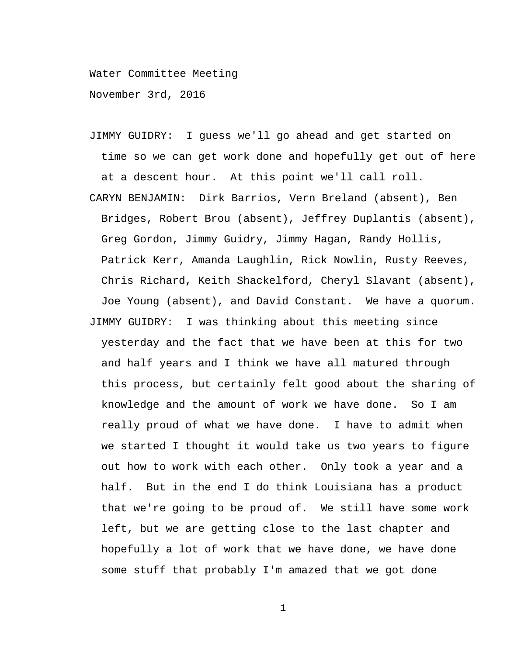Water Committee Meeting

November 3rd, 2016

- JIMMY GUIDRY: I guess we'll go ahead and get started on time so we can get work done and hopefully get out of here at a descent hour. At this point we'll call roll.
- CARYN BENJAMIN: Dirk Barrios, Vern Breland (absent), Ben Bridges, Robert Brou (absent), Jeffrey Duplantis (absent), Greg Gordon, Jimmy Guidry, Jimmy Hagan, Randy Hollis, Patrick Kerr, Amanda Laughlin, Rick Nowlin, Rusty Reeves, Chris Richard, Keith Shackelford, Cheryl Slavant (absent), Joe Young (absent), and David Constant. We have a quorum. JIMMY GUIDRY: I was thinking about this meeting since yesterday and the fact that we have been at this for two and half years and I think we have all matured through this process, but certainly felt good about the sharing of knowledge and the amount of work we have done. So I am really proud of what we have done. I have to admit when we started I thought it would take us two years to figure out how to work with each other. Only took a year and a half. But in the end I do think Louisiana has a product that we're going to be proud of. We still have some work left, but we are getting close to the last chapter and hopefully a lot of work that we have done, we have done some stuff that probably I'm amazed that we got done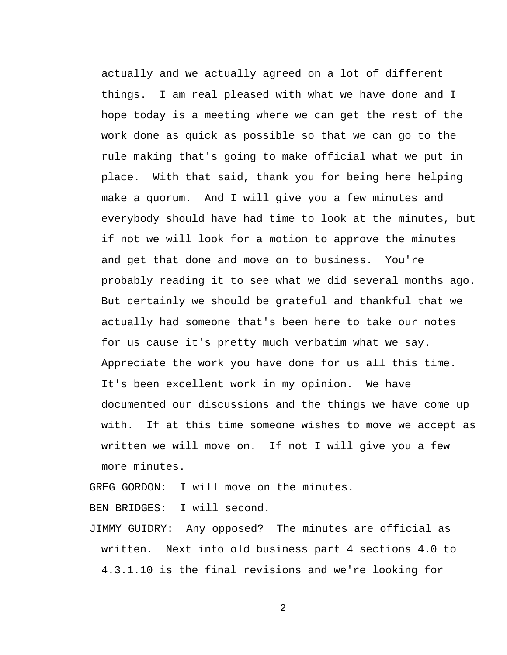actually and we actually agreed on a lot of different things. I am real pleased with what we have done and I hope today is a meeting where we can get the rest of the work done as quick as possible so that we can go to the rule making that's going to make official what we put in place. With that said, thank you for being here helping make a quorum. And I will give you a few minutes and everybody should have had time to look at the minutes, but if not we will look for a motion to approve the minutes and get that done and move on to business. You're probably reading it to see what we did several months ago. But certainly we should be grateful and thankful that we actually had someone that's been here to take our notes for us cause it's pretty much verbatim what we say. Appreciate the work you have done for us all this time. It's been excellent work in my opinion. We have documented our discussions and the things we have come up with. If at this time someone wishes to move we accept as written we will move on. If not I will give you a few more minutes.

GREG GORDON: I will move on the minutes.

BEN BRIDGES: I will second.

JIMMY GUIDRY: Any opposed? The minutes are official as written. Next into old business part 4 sections 4.0 to 4.3.1.10 is the final revisions and we're looking for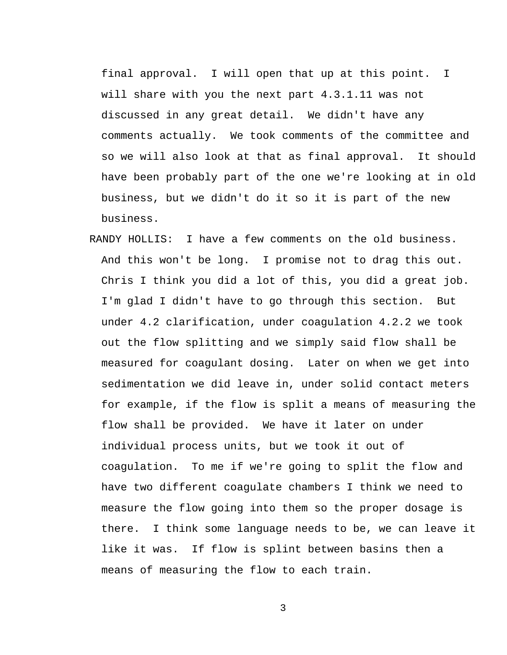final approval. I will open that up at this point. I will share with you the next part 4.3.1.11 was not discussed in any great detail. We didn't have any comments actually. We took comments of the committee and so we will also look at that as final approval. It should have been probably part of the one we're looking at in old business, but we didn't do it so it is part of the new business.

RANDY HOLLIS: I have a few comments on the old business. And this won't be long. I promise not to drag this out. Chris I think you did a lot of this, you did a great job. I'm glad I didn't have to go through this section. But under 4.2 clarification, under coagulation 4.2.2 we took out the flow splitting and we simply said flow shall be measured for coagulant dosing. Later on when we get into sedimentation we did leave in, under solid contact meters for example, if the flow is split a means of measuring the flow shall be provided. We have it later on under individual process units, but we took it out of coagulation. To me if we're going to split the flow and have two different coagulate chambers I think we need to measure the flow going into them so the proper dosage is there. I think some language needs to be, we can leave it like it was. If flow is splint between basins then a means of measuring the flow to each train.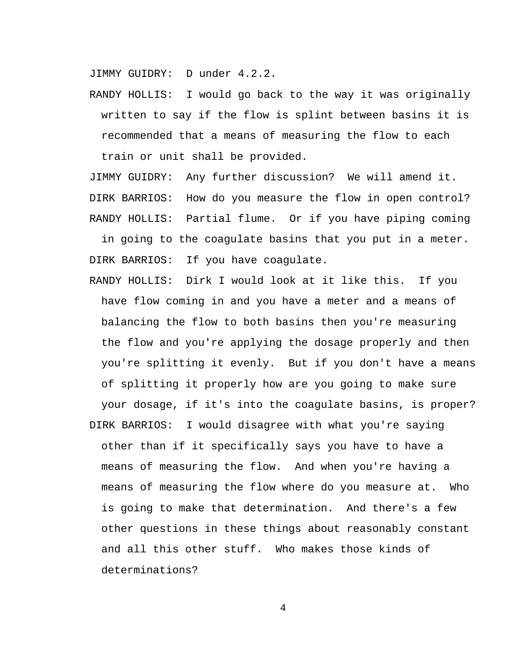JIMMY GUIDRY: D under 4.2.2.

RANDY HOLLIS: I would go back to the way it was originally written to say if the flow is splint between basins it is recommended that a means of measuring the flow to each train or unit shall be provided.

JIMMY GUIDRY: Any further discussion? We will amend it. DIRK BARRIOS: How do you measure the flow in open control? RANDY HOLLIS: Partial flume. Or if you have piping coming

in going to the coagulate basins that you put in a meter. DIRK BARRIOS: If you have coagulate.

- RANDY HOLLIS: Dirk I would look at it like this. If you have flow coming in and you have a meter and a means of balancing the flow to both basins then you're measuring the flow and you're applying the dosage properly and then you're splitting it evenly. But if you don't have a means of splitting it properly how are you going to make sure your dosage, if it's into the coagulate basins, is proper?
- DIRK BARRIOS: I would disagree with what you're saying other than if it specifically says you have to have a means of measuring the flow. And when you're having a means of measuring the flow where do you measure at. Who is going to make that determination. And there's a few other questions in these things about reasonably constant and all this other stuff. Who makes those kinds of determinations?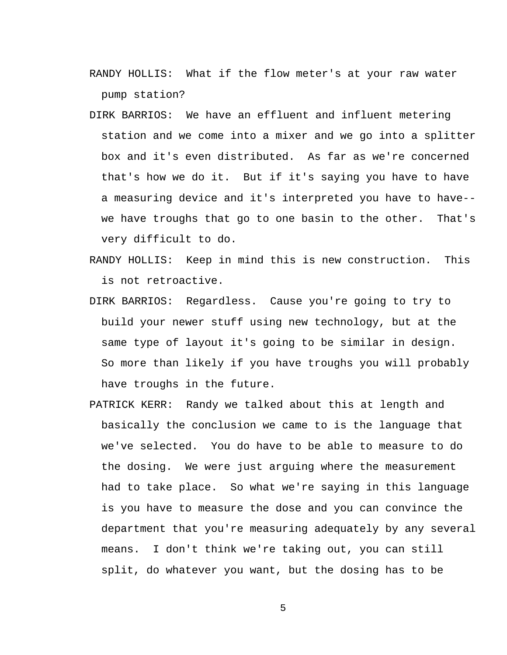- RANDY HOLLIS: What if the flow meter's at your raw water pump station?
- DIRK BARRIOS: We have an effluent and influent metering station and we come into a mixer and we go into a splitter box and it's even distributed. As far as we're concerned that's how we do it. But if it's saying you have to have a measuring device and it's interpreted you have to have- we have troughs that go to one basin to the other. That's very difficult to do.
- RANDY HOLLIS: Keep in mind this is new construction. This is not retroactive.
- DIRK BARRIOS: Regardless. Cause you're going to try to build your newer stuff using new technology, but at the same type of layout it's going to be similar in design. So more than likely if you have troughs you will probably have troughs in the future.
- PATRICK KERR: Randy we talked about this at length and basically the conclusion we came to is the language that we've selected. You do have to be able to measure to do the dosing. We were just arguing where the measurement had to take place. So what we're saying in this language is you have to measure the dose and you can convince the department that you're measuring adequately by any several means. I don't think we're taking out, you can still split, do whatever you want, but the dosing has to be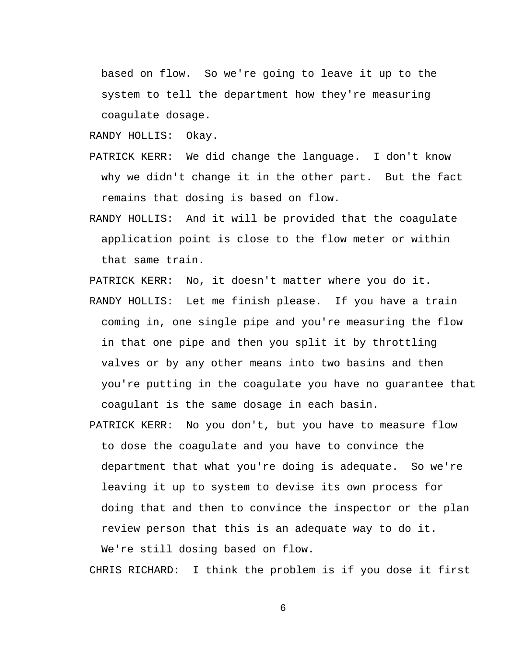based on flow. So we're going to leave it up to the system to tell the department how they're measuring coagulate dosage.

RANDY HOLLIS: Okay.

- PATRICK KERR: We did change the language. I don't know why we didn't change it in the other part. But the fact remains that dosing is based on flow.
- RANDY HOLLIS: And it will be provided that the coagulate application point is close to the flow meter or within that same train.

PATRICK KERR: No, it doesn't matter where you do it.

- RANDY HOLLIS: Let me finish please. If you have a train coming in, one single pipe and you're measuring the flow in that one pipe and then you split it by throttling valves or by any other means into two basins and then you're putting in the coagulate you have no guarantee that coagulant is the same dosage in each basin.
- PATRICK KERR: No you don't, but you have to measure flow to dose the coagulate and you have to convince the department that what you're doing is adequate. So we're leaving it up to system to devise its own process for doing that and then to convince the inspector or the plan review person that this is an adequate way to do it. We're still dosing based on flow.

CHRIS RICHARD: I think the problem is if you dose it first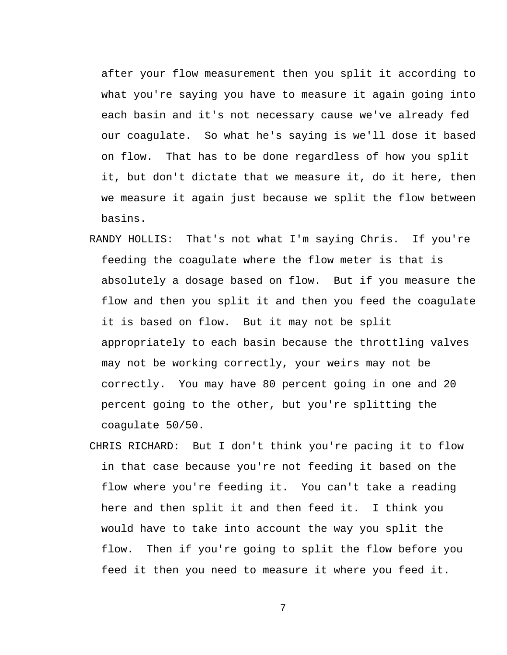after your flow measurement then you split it according to what you're saying you have to measure it again going into each basin and it's not necessary cause we've already fed our coagulate. So what he's saying is we'll dose it based on flow. That has to be done regardless of how you split it, but don't dictate that we measure it, do it here, then we measure it again just because we split the flow between basins.

- RANDY HOLLIS: That's not what I'm saying Chris. If you're feeding the coagulate where the flow meter is that is absolutely a dosage based on flow. But if you measure the flow and then you split it and then you feed the coagulate it is based on flow. But it may not be split appropriately to each basin because the throttling valves may not be working correctly, your weirs may not be correctly. You may have 80 percent going in one and 20 percent going to the other, but you're splitting the coagulate 50/50.
- CHRIS RICHARD: But I don't think you're pacing it to flow in that case because you're not feeding it based on the flow where you're feeding it. You can't take a reading here and then split it and then feed it. I think you would have to take into account the way you split the flow. Then if you're going to split the flow before you feed it then you need to measure it where you feed it.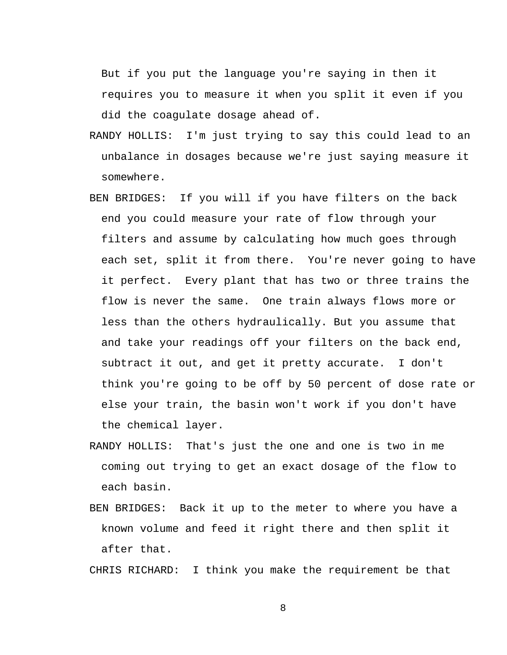But if you put the language you're saying in then it requires you to measure it when you split it even if you did the coagulate dosage ahead of.

- RANDY HOLLIS: I'm just trying to say this could lead to an unbalance in dosages because we're just saying measure it somewhere.
- BEN BRIDGES: If you will if you have filters on the back end you could measure your rate of flow through your filters and assume by calculating how much goes through each set, split it from there. You're never going to have it perfect. Every plant that has two or three trains the flow is never the same. One train always flows more or less than the others hydraulically. But you assume that and take your readings off your filters on the back end, subtract it out, and get it pretty accurate. I don't think you're going to be off by 50 percent of dose rate or else your train, the basin won't work if you don't have the chemical layer.
- RANDY HOLLIS: That's just the one and one is two in me coming out trying to get an exact dosage of the flow to each basin.
- BEN BRIDGES: Back it up to the meter to where you have a known volume and feed it right there and then split it after that.

CHRIS RICHARD: I think you make the requirement be that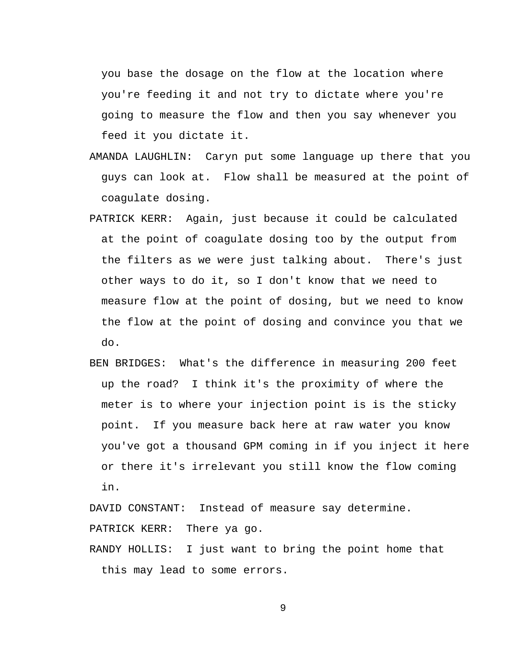you base the dosage on the flow at the location where you're feeding it and not try to dictate where you're going to measure the flow and then you say whenever you feed it you dictate it.

- AMANDA LAUGHLIN: Caryn put some language up there that you guys can look at. Flow shall be measured at the point of coagulate dosing.
- PATRICK KERR: Again, just because it could be calculated at the point of coagulate dosing too by the output from the filters as we were just talking about. There's just other ways to do it, so I don't know that we need to measure flow at the point of dosing, but we need to know the flow at the point of dosing and convince you that we do.
- BEN BRIDGES: What's the difference in measuring 200 feet up the road? I think it's the proximity of where the meter is to where your injection point is is the sticky point. If you measure back here at raw water you know you've got a thousand GPM coming in if you inject it here or there it's irrelevant you still know the flow coming in.

DAVID CONSTANT: Instead of measure say determine. PATRICK KERR: There ya go.

RANDY HOLLIS: I just want to bring the point home that this may lead to some errors.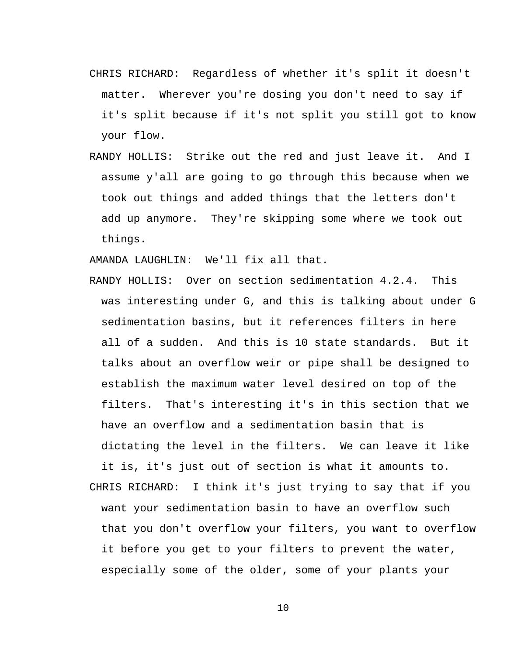- CHRIS RICHARD: Regardless of whether it's split it doesn't matter. Wherever you're dosing you don't need to say if it's split because if it's not split you still got to know your flow.
- RANDY HOLLIS: Strike out the red and just leave it. And I assume y'all are going to go through this because when we took out things and added things that the letters don't add up anymore. They're skipping some where we took out things.

AMANDA LAUGHLIN: We'll fix all that.

- RANDY HOLLIS: Over on section sedimentation 4.2.4. This was interesting under G, and this is talking about under G sedimentation basins, but it references filters in here all of a sudden. And this is 10 state standards. But it talks about an overflow weir or pipe shall be designed to establish the maximum water level desired on top of the filters. That's interesting it's in this section that we have an overflow and a sedimentation basin that is dictating the level in the filters. We can leave it like
- it is, it's just out of section is what it amounts to. CHRIS RICHARD: I think it's just trying to say that if you want your sedimentation basin to have an overflow such that you don't overflow your filters, you want to overflow it before you get to your filters to prevent the water, especially some of the older, some of your plants your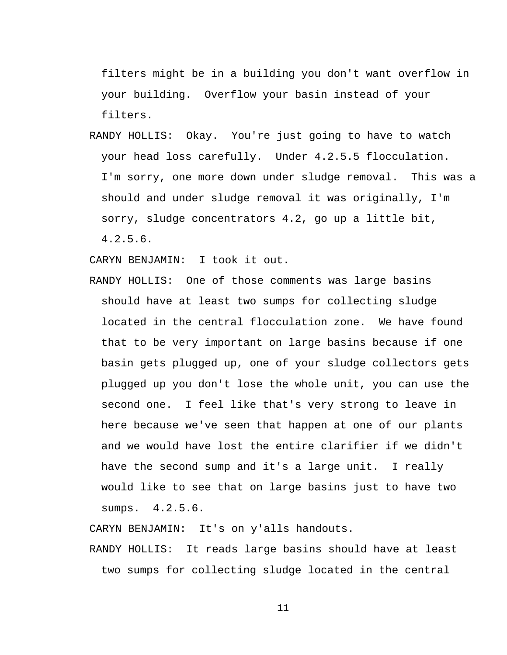filters might be in a building you don't want overflow in your building. Overflow your basin instead of your filters.

RANDY HOLLIS: Okay. You're just going to have to watch your head loss carefully. Under 4.2.5.5 flocculation. I'm sorry, one more down under sludge removal. This was a should and under sludge removal it was originally, I'm sorry, sludge concentrators 4.2, go up a little bit, 4.2.5.6.

CARYN BENJAMIN: I took it out.

RANDY HOLLIS: One of those comments was large basins should have at least two sumps for collecting sludge located in the central flocculation zone. We have found that to be very important on large basins because if one basin gets plugged up, one of your sludge collectors gets plugged up you don't lose the whole unit, you can use the second one. I feel like that's very strong to leave in here because we've seen that happen at one of our plants and we would have lost the entire clarifier if we didn't have the second sump and it's a large unit. I really would like to see that on large basins just to have two sumps. 4.2.5.6.

CARYN BENJAMIN: It's on y'alls handouts.

RANDY HOLLIS: It reads large basins should have at least two sumps for collecting sludge located in the central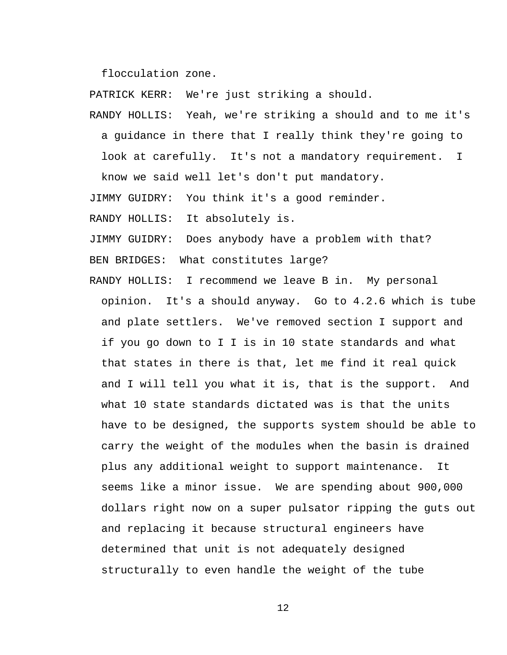flocculation zone.

PATRICK KERR: We're just striking a should.

RANDY HOLLIS: Yeah, we're striking a should and to me it's a guidance in there that I really think they're going to look at carefully. It's not a mandatory requirement. I know we said well let's don't put mandatory.

JIMMY GUIDRY: You think it's a good reminder.

RANDY HOLLIS: It absolutely is.

JIMMY GUIDRY: Does anybody have a problem with that?

BEN BRIDGES: What constitutes large?

RANDY HOLLIS: I recommend we leave B in. My personal opinion. It's a should anyway. Go to 4.2.6 which is tube and plate settlers. We've removed section I support and if you go down to I I is in 10 state standards and what that states in there is that, let me find it real quick and I will tell you what it is, that is the support. And what 10 state standards dictated was is that the units have to be designed, the supports system should be able to carry the weight of the modules when the basin is drained plus any additional weight to support maintenance. It seems like a minor issue. We are spending about 900,000 dollars right now on a super pulsator ripping the guts out and replacing it because structural engineers have determined that unit is not adequately designed structurally to even handle the weight of the tube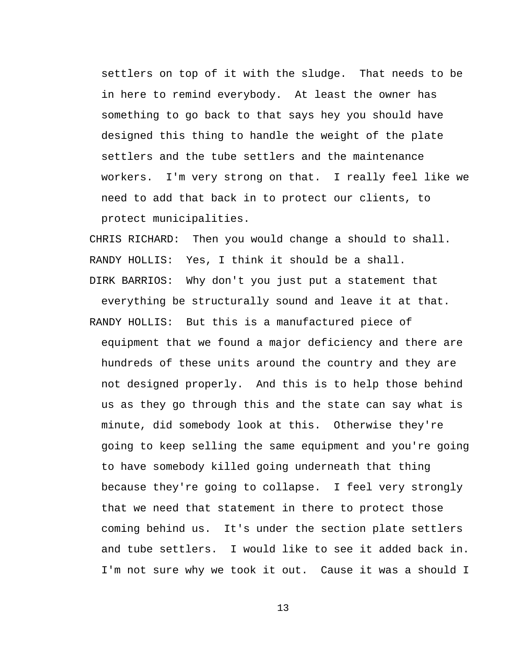settlers on top of it with the sludge. That needs to be in here to remind everybody. At least the owner has something to go back to that says hey you should have designed this thing to handle the weight of the plate settlers and the tube settlers and the maintenance workers. I'm very strong on that. I really feel like we need to add that back in to protect our clients, to protect municipalities.

CHRIS RICHARD: Then you would change a should to shall. RANDY HOLLIS: Yes, I think it should be a shall.

DIRK BARRIOS: Why don't you just put a statement that

everything be structurally sound and leave it at that. RANDY HOLLIS: But this is a manufactured piece of equipment that we found a major deficiency and there are hundreds of these units around the country and they are not designed properly. And this is to help those behind us as they go through this and the state can say what is minute, did somebody look at this. Otherwise they're going to keep selling the same equipment and you're going to have somebody killed going underneath that thing because they're going to collapse. I feel very strongly that we need that statement in there to protect those coming behind us. It's under the section plate settlers and tube settlers. I would like to see it added back in. I'm not sure why we took it out. Cause it was a should I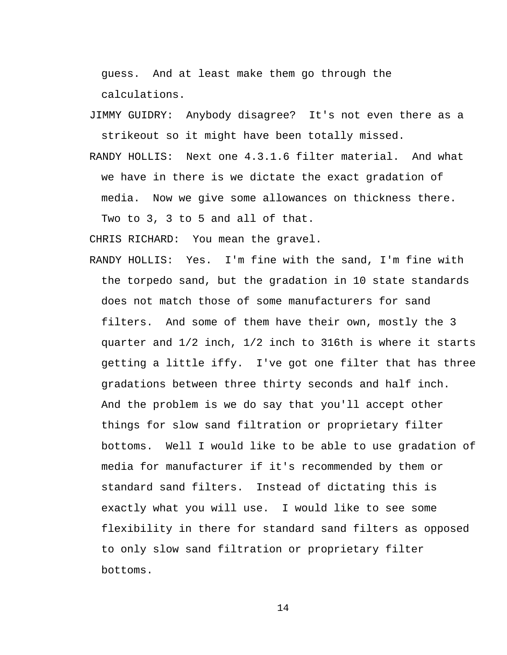guess. And at least make them go through the calculations.

- JIMMY GUIDRY: Anybody disagree? It's not even there as a strikeout so it might have been totally missed.
- RANDY HOLLIS: Next one 4.3.1.6 filter material. And what we have in there is we dictate the exact gradation of media. Now we give some allowances on thickness there. Two to 3, 3 to 5 and all of that.

CHRIS RICHARD: You mean the gravel.

RANDY HOLLIS: Yes. I'm fine with the sand, I'm fine with the torpedo sand, but the gradation in 10 state standards does not match those of some manufacturers for sand filters. And some of them have their own, mostly the 3 quarter and 1/2 inch, 1/2 inch to 316th is where it starts getting a little iffy. I've got one filter that has three gradations between three thirty seconds and half inch. And the problem is we do say that you'll accept other things for slow sand filtration or proprietary filter bottoms. Well I would like to be able to use gradation of media for manufacturer if it's recommended by them or standard sand filters. Instead of dictating this is exactly what you will use. I would like to see some flexibility in there for standard sand filters as opposed to only slow sand filtration or proprietary filter bottoms.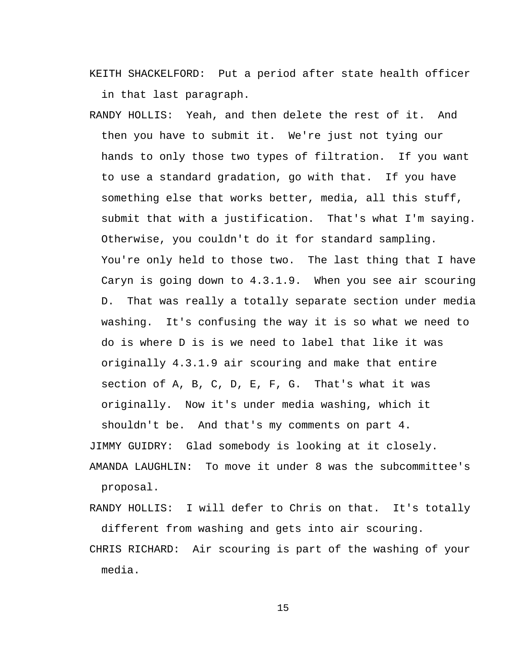KEITH SHACKELFORD: Put a period after state health officer in that last paragraph.

RANDY HOLLIS: Yeah, and then delete the rest of it. And then you have to submit it. We're just not tying our hands to only those two types of filtration. If you want to use a standard gradation, go with that. If you have something else that works better, media, all this stuff, submit that with a justification. That's what I'm saying. Otherwise, you couldn't do it for standard sampling. You're only held to those two. The last thing that I have Caryn is going down to 4.3.1.9. When you see air scouring D. That was really a totally separate section under media washing. It's confusing the way it is so what we need to do is where D is is we need to label that like it was originally 4.3.1.9 air scouring and make that entire section of A, B, C, D, E, F, G. That's what it was originally. Now it's under media washing, which it shouldn't be. And that's my comments on part 4. JIMMY GUIDRY: Glad somebody is looking at it closely. AMANDA LAUGHLIN: To move it under 8 was the subcommittee's proposal.

RANDY HOLLIS: I will defer to Chris on that. It's totally different from washing and gets into air scouring.

CHRIS RICHARD: Air scouring is part of the washing of your media.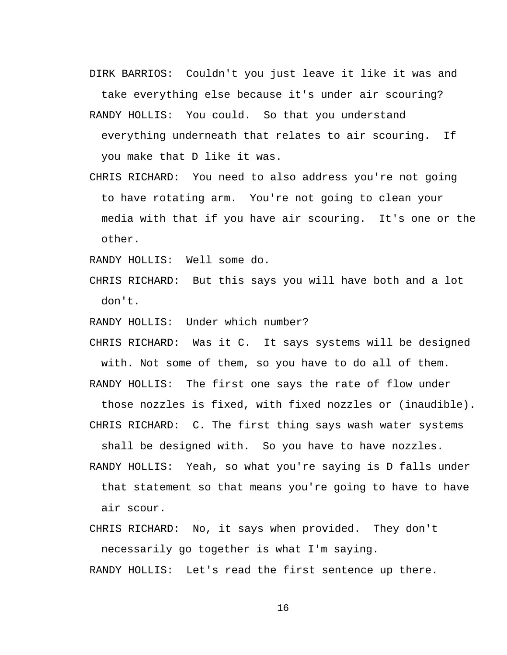- DIRK BARRIOS: Couldn't you just leave it like it was and take everything else because it's under air scouring?
- RANDY HOLLIS: You could. So that you understand everything underneath that relates to air scouring. If you make that D like it was.
- CHRIS RICHARD: You need to also address you're not going to have rotating arm. You're not going to clean your media with that if you have air scouring. It's one or the other.

RANDY HOLLIS: Well some do.

- CHRIS RICHARD: But this says you will have both and a lot don't.
- RANDY HOLLIS: Under which number?
- CHRIS RICHARD: Was it C. It says systems will be designed with. Not some of them, so you have to do all of them.

RANDY HOLLIS: The first one says the rate of flow under

those nozzles is fixed, with fixed nozzles or (inaudible). CHRIS RICHARD: C. The first thing says wash water systems

shall be designed with. So you have to have nozzles.

- RANDY HOLLIS: Yeah, so what you're saying is D falls under that statement so that means you're going to have to have air scour.
- CHRIS RICHARD: No, it says when provided. They don't necessarily go together is what I'm saying.

RANDY HOLLIS: Let's read the first sentence up there.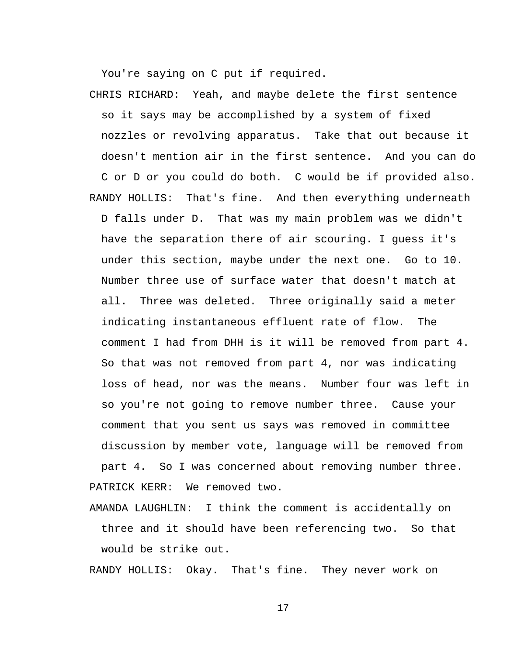You're saying on C put if required.

CHRIS RICHARD: Yeah, and maybe delete the first sentence so it says may be accomplished by a system of fixed nozzles or revolving apparatus. Take that out because it doesn't mention air in the first sentence. And you can do C or D or you could do both. C would be if provided also. RANDY HOLLIS: That's fine. And then everything underneath D falls under D. That was my main problem was we didn't have the separation there of air scouring. I guess it's under this section, maybe under the next one. Go to 10. Number three use of surface water that doesn't match at all. Three was deleted. Three originally said a meter indicating instantaneous effluent rate of flow. The comment I had from DHH is it will be removed from part 4. So that was not removed from part 4, nor was indicating loss of head, nor was the means. Number four was left in so you're not going to remove number three. Cause your comment that you sent us says was removed in committee discussion by member vote, language will be removed from part 4. So I was concerned about removing number three. PATRICK KERR: We removed two.

AMANDA LAUGHLIN: I think the comment is accidentally on three and it should have been referencing two. So that would be strike out.

RANDY HOLLIS: Okay. That's fine. They never work on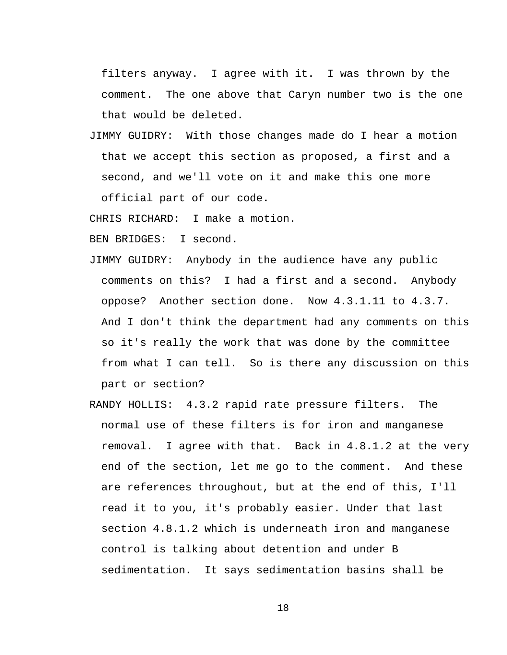filters anyway. I agree with it. I was thrown by the comment. The one above that Caryn number two is the one that would be deleted.

JIMMY GUIDRY: With those changes made do I hear a motion that we accept this section as proposed, a first and a second, and we'll vote on it and make this one more official part of our code.

CHRIS RICHARD: I make a motion.

BEN BRIDGES: I second.

- JIMMY GUIDRY: Anybody in the audience have any public comments on this? I had a first and a second. Anybody oppose? Another section done. Now 4.3.1.11 to 4.3.7. And I don't think the department had any comments on this so it's really the work that was done by the committee from what I can tell. So is there any discussion on this part or section?
- RANDY HOLLIS: 4.3.2 rapid rate pressure filters. The normal use of these filters is for iron and manganese removal. I agree with that. Back in 4.8.1.2 at the very end of the section, let me go to the comment. And these are references throughout, but at the end of this, I'll read it to you, it's probably easier. Under that last section 4.8.1.2 which is underneath iron and manganese control is talking about detention and under B sedimentation. It says sedimentation basins shall be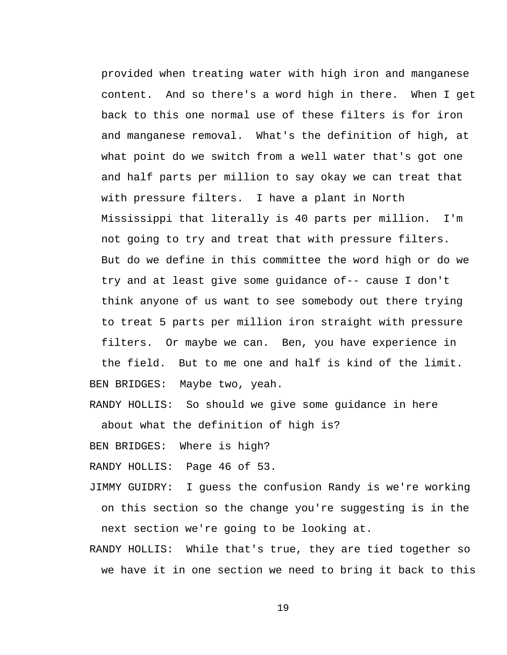provided when treating water with high iron and manganese content. And so there's a word high in there. When I get back to this one normal use of these filters is for iron and manganese removal. What's the definition of high, at what point do we switch from a well water that's got one and half parts per million to say okay we can treat that with pressure filters. I have a plant in North Mississippi that literally is 40 parts per million. I'm not going to try and treat that with pressure filters. But do we define in this committee the word high or do we try and at least give some guidance of-- cause I don't think anyone of us want to see somebody out there trying to treat 5 parts per million iron straight with pressure filters. Or maybe we can. Ben, you have experience in the field. But to me one and half is kind of the limit.

BEN BRIDGES: Maybe two, yeah.

RANDY HOLLIS: So should we give some guidance in here

about what the definition of high is?

BEN BRIDGES: Where is high?

RANDY HOLLIS: Page 46 of 53.

- JIMMY GUIDRY: I guess the confusion Randy is we're working on this section so the change you're suggesting is in the next section we're going to be looking at.
- RANDY HOLLIS: While that's true, they are tied together so we have it in one section we need to bring it back to this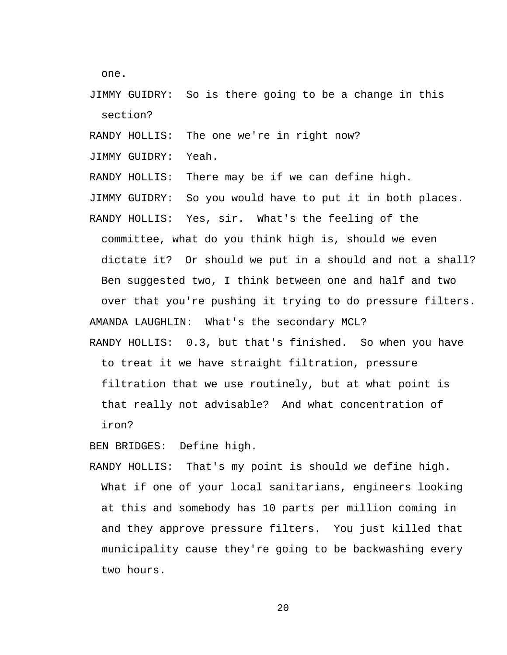one.

- JIMMY GUIDRY: So is there going to be a change in this section?
- RANDY HOLLIS: The one we're in right now?

JIMMY GUIDRY: Yeah.

RANDY HOLLIS: There may be if we can define high.

JIMMY GUIDRY: So you would have to put it in both places.

RANDY HOLLIS: Yes, sir. What's the feeling of the

committee, what do you think high is, should we even

dictate it? Or should we put in a should and not a shall?

Ben suggested two, I think between one and half and two

over that you're pushing it trying to do pressure filters.

AMANDA LAUGHLIN: What's the secondary MCL?

RANDY HOLLIS: 0.3, but that's finished. So when you have to treat it we have straight filtration, pressure filtration that we use routinely, but at what point is that really not advisable? And what concentration of iron?

BEN BRIDGES: Define high.

RANDY HOLLIS: That's my point is should we define high. What if one of your local sanitarians, engineers looking at this and somebody has 10 parts per million coming in and they approve pressure filters. You just killed that municipality cause they're going to be backwashing every two hours.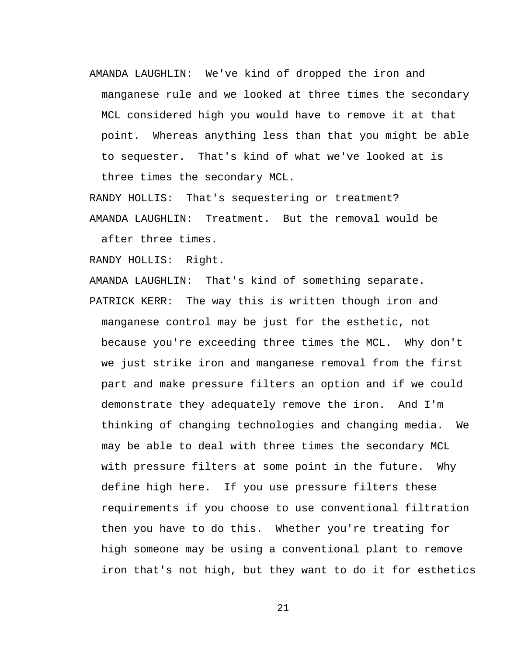AMANDA LAUGHLIN: We've kind of dropped the iron and manganese rule and we looked at three times the secondary MCL considered high you would have to remove it at that point. Whereas anything less than that you might be able to sequester. That's kind of what we've looked at is three times the secondary MCL.

RANDY HOLLIS: That's sequestering or treatment? AMANDA LAUGHLIN: Treatment. But the removal would be after three times.

RANDY HOLLIS: Right.

AMANDA LAUGHLIN: That's kind of something separate. PATRICK KERR: The way this is written though iron and manganese control may be just for the esthetic, not because you're exceeding three times the MCL. Why don't we just strike iron and manganese removal from the first part and make pressure filters an option and if we could demonstrate they adequately remove the iron. And I'm thinking of changing technologies and changing media. We may be able to deal with three times the secondary MCL with pressure filters at some point in the future. Why define high here. If you use pressure filters these requirements if you choose to use conventional filtration then you have to do this. Whether you're treating for high someone may be using a conventional plant to remove iron that's not high, but they want to do it for esthetics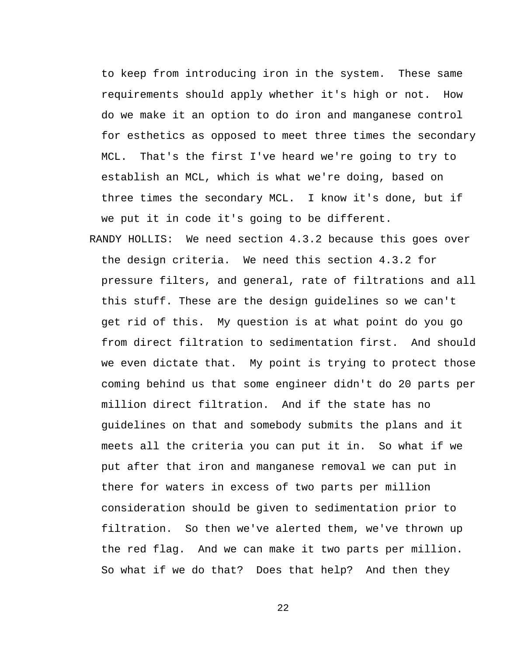to keep from introducing iron in the system. These same requirements should apply whether it's high or not. How do we make it an option to do iron and manganese control for esthetics as opposed to meet three times the secondary MCL. That's the first I've heard we're going to try to establish an MCL, which is what we're doing, based on three times the secondary MCL. I know it's done, but if we put it in code it's going to be different.

RANDY HOLLIS: We need section 4.3.2 because this goes over the design criteria. We need this section 4.3.2 for pressure filters, and general, rate of filtrations and all this stuff. These are the design guidelines so we can't get rid of this. My question is at what point do you go from direct filtration to sedimentation first. And should we even dictate that. My point is trying to protect those coming behind us that some engineer didn't do 20 parts per million direct filtration. And if the state has no guidelines on that and somebody submits the plans and it meets all the criteria you can put it in. So what if we put after that iron and manganese removal we can put in there for waters in excess of two parts per million consideration should be given to sedimentation prior to filtration. So then we've alerted them, we've thrown up the red flag. And we can make it two parts per million. So what if we do that? Does that help? And then they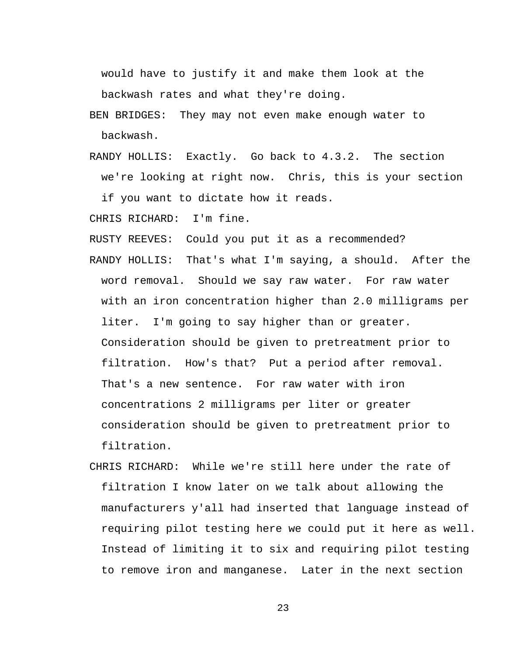would have to justify it and make them look at the backwash rates and what they're doing.

BEN BRIDGES: They may not even make enough water to backwash.

RANDY HOLLIS: Exactly. Go back to 4.3.2. The section we're looking at right now. Chris, this is your section if you want to dictate how it reads.

CHRIS RICHARD: I'm fine.

RUSTY REEVES: Could you put it as a recommended?

- RANDY HOLLIS: That's what I'm saying, a should. After the word removal. Should we say raw water. For raw water with an iron concentration higher than 2.0 milligrams per liter. I'm going to say higher than or greater. Consideration should be given to pretreatment prior to filtration. How's that? Put a period after removal. That's a new sentence. For raw water with iron concentrations 2 milligrams per liter or greater consideration should be given to pretreatment prior to filtration.
- CHRIS RICHARD: While we're still here under the rate of filtration I know later on we talk about allowing the manufacturers y'all had inserted that language instead of requiring pilot testing here we could put it here as well. Instead of limiting it to six and requiring pilot testing to remove iron and manganese. Later in the next section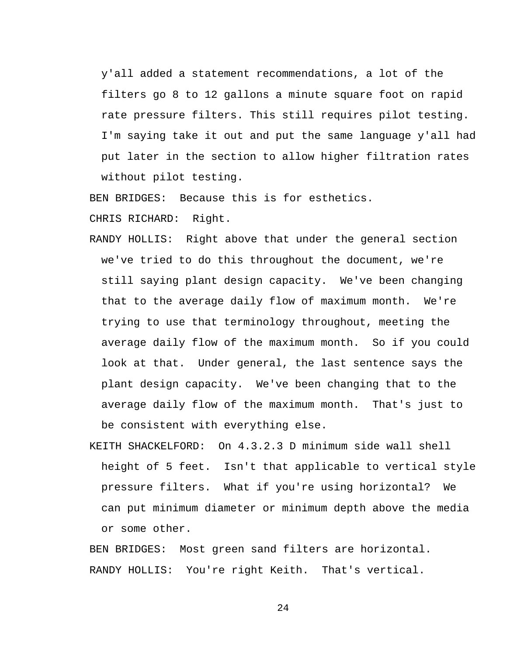y'all added a statement recommendations, a lot of the filters go 8 to 12 gallons a minute square foot on rapid rate pressure filters. This still requires pilot testing. I'm saying take it out and put the same language y'all had put later in the section to allow higher filtration rates without pilot testing.

BEN BRIDGES: Because this is for esthetics.

CHRIS RICHARD: Right.

- RANDY HOLLIS: Right above that under the general section we've tried to do this throughout the document, we're still saying plant design capacity. We've been changing that to the average daily flow of maximum month. We're trying to use that terminology throughout, meeting the average daily flow of the maximum month. So if you could look at that. Under general, the last sentence says the plant design capacity. We've been changing that to the average daily flow of the maximum month. That's just to be consistent with everything else.
- KEITH SHACKELFORD: On 4.3.2.3 D minimum side wall shell height of 5 feet. Isn't that applicable to vertical style pressure filters. What if you're using horizontal? We can put minimum diameter or minimum depth above the media or some other.

BEN BRIDGES: Most green sand filters are horizontal. RANDY HOLLIS: You're right Keith. That's vertical.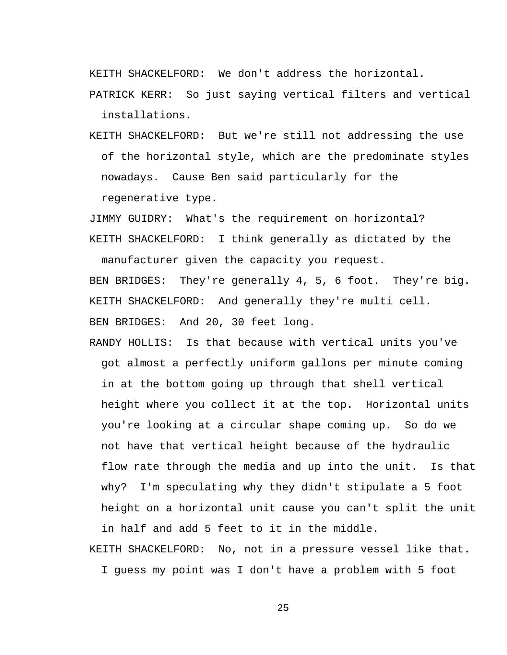KEITH SHACKELFORD: We don't address the horizontal.

PATRICK KERR: So just saying vertical filters and vertical installations.

KEITH SHACKELFORD: But we're still not addressing the use of the horizontal style, which are the predominate styles nowadays. Cause Ben said particularly for the regenerative type.

JIMMY GUIDRY: What's the requirement on horizontal? KEITH SHACKELFORD: I think generally as dictated by the

manufacturer given the capacity you request. BEN BRIDGES: They're generally 4, 5, 6 foot. They're big. KEITH SHACKELFORD: And generally they're multi cell. BEN BRIDGES: And 20, 30 feet long.

RANDY HOLLIS: Is that because with vertical units you've got almost a perfectly uniform gallons per minute coming in at the bottom going up through that shell vertical height where you collect it at the top. Horizontal units you're looking at a circular shape coming up. So do we not have that vertical height because of the hydraulic flow rate through the media and up into the unit. Is that why? I'm speculating why they didn't stipulate a 5 foot height on a horizontal unit cause you can't split the unit in half and add 5 feet to it in the middle.

KEITH SHACKELFORD: No, not in a pressure vessel like that. I guess my point was I don't have a problem with 5 foot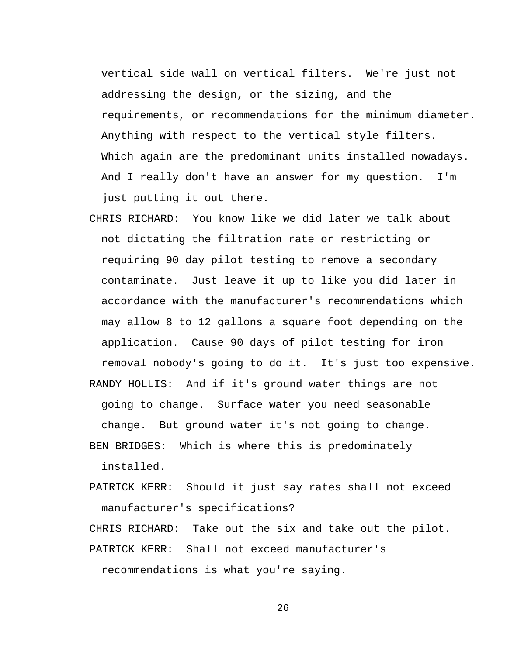vertical side wall on vertical filters. We're just not addressing the design, or the sizing, and the requirements, or recommendations for the minimum diameter. Anything with respect to the vertical style filters. Which again are the predominant units installed nowadays. And I really don't have an answer for my question. I'm just putting it out there.

CHRIS RICHARD: You know like we did later we talk about not dictating the filtration rate or restricting or requiring 90 day pilot testing to remove a secondary contaminate. Just leave it up to like you did later in accordance with the manufacturer's recommendations which may allow 8 to 12 gallons a square foot depending on the application. Cause 90 days of pilot testing for iron removal nobody's going to do it. It's just too expensive. RANDY HOLLIS: And if it's ground water things are not going to change. Surface water you need seasonable

change. But ground water it's not going to change.

BEN BRIDGES: Which is where this is predominately installed.

PATRICK KERR: Should it just say rates shall not exceed manufacturer's specifications?

CHRIS RICHARD: Take out the six and take out the pilot. PATRICK KERR: Shall not exceed manufacturer's

recommendations is what you're saying.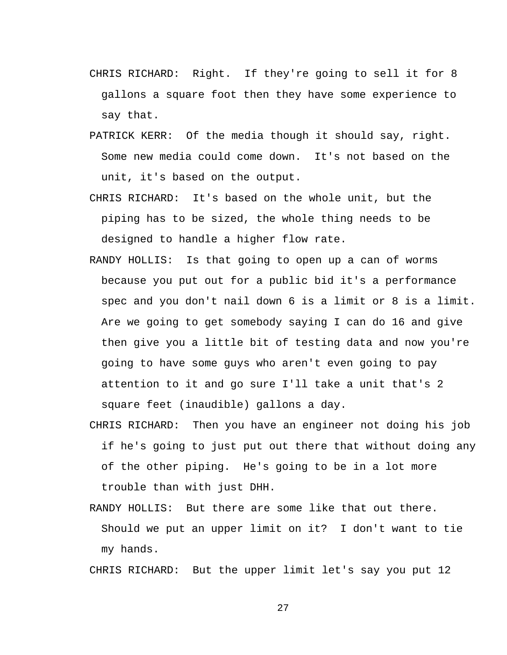- CHRIS RICHARD: Right. If they're going to sell it for 8 gallons a square foot then they have some experience to say that.
- PATRICK KERR: Of the media though it should say, right. Some new media could come down. It's not based on the unit, it's based on the output.
- CHRIS RICHARD: It's based on the whole unit, but the piping has to be sized, the whole thing needs to be designed to handle a higher flow rate.
- RANDY HOLLIS: Is that going to open up a can of worms because you put out for a public bid it's a performance spec and you don't nail down 6 is a limit or 8 is a limit. Are we going to get somebody saying I can do 16 and give then give you a little bit of testing data and now you're going to have some guys who aren't even going to pay attention to it and go sure I'll take a unit that's 2 square feet (inaudible) gallons a day.
- CHRIS RICHARD: Then you have an engineer not doing his job if he's going to just put out there that without doing any of the other piping. He's going to be in a lot more trouble than with just DHH.
- RANDY HOLLIS: But there are some like that out there. Should we put an upper limit on it? I don't want to tie my hands.

CHRIS RICHARD: But the upper limit let's say you put 12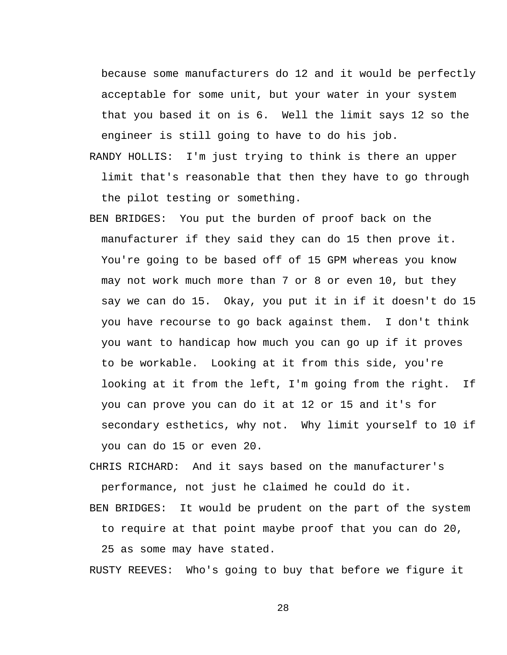because some manufacturers do 12 and it would be perfectly acceptable for some unit, but your water in your system that you based it on is 6. Well the limit says 12 so the engineer is still going to have to do his job.

- RANDY HOLLIS: I'm just trying to think is there an upper limit that's reasonable that then they have to go through the pilot testing or something.
- BEN BRIDGES: You put the burden of proof back on the manufacturer if they said they can do 15 then prove it. You're going to be based off of 15 GPM whereas you know may not work much more than 7 or 8 or even 10, but they say we can do 15. Okay, you put it in if it doesn't do 15 you have recourse to go back against them. I don't think you want to handicap how much you can go up if it proves to be workable. Looking at it from this side, you're looking at it from the left, I'm going from the right. If you can prove you can do it at 12 or 15 and it's for secondary esthetics, why not. Why limit yourself to 10 if you can do 15 or even 20.

CHRIS RICHARD: And it says based on the manufacturer's performance, not just he claimed he could do it.

BEN BRIDGES: It would be prudent on the part of the system

to require at that point maybe proof that you can do 20,

25 as some may have stated.

RUSTY REEVES: Who's going to buy that before we figure it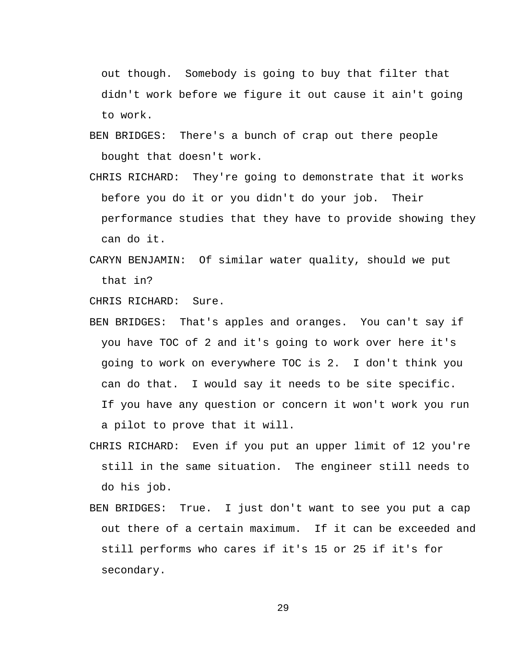out though. Somebody is going to buy that filter that didn't work before we figure it out cause it ain't going to work.

- BEN BRIDGES: There's a bunch of crap out there people bought that doesn't work.
- CHRIS RICHARD: They're going to demonstrate that it works before you do it or you didn't do your job. Their performance studies that they have to provide showing they can do it.
- CARYN BENJAMIN: Of similar water quality, should we put that in?

CHRIS RICHARD: Sure.

- BEN BRIDGES: That's apples and oranges. You can't say if you have TOC of 2 and it's going to work over here it's going to work on everywhere TOC is 2. I don't think you can do that. I would say it needs to be site specific. If you have any question or concern it won't work you run a pilot to prove that it will.
- CHRIS RICHARD: Even if you put an upper limit of 12 you're still in the same situation. The engineer still needs to do his job.
- BEN BRIDGES: True. I just don't want to see you put a cap out there of a certain maximum. If it can be exceeded and still performs who cares if it's 15 or 25 if it's for secondary.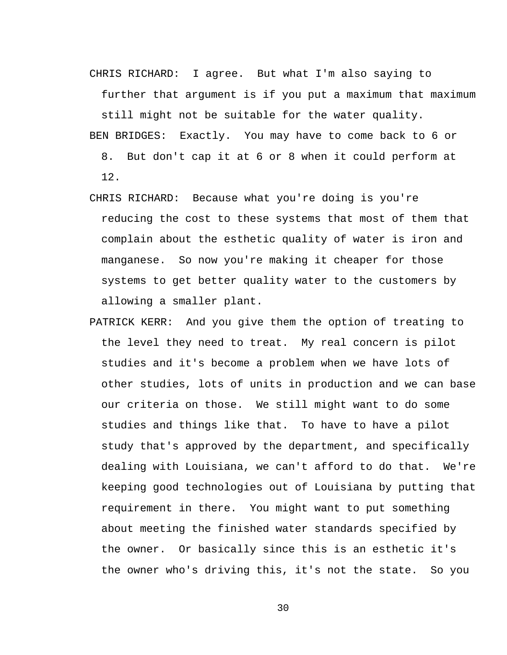CHRIS RICHARD: I agree. But what I'm also saying to

further that argument is if you put a maximum that maximum

still might not be suitable for the water quality.

BEN BRIDGES: Exactly. You may have to come back to 6 or

8. But don't cap it at 6 or 8 when it could perform at 12.

- CHRIS RICHARD: Because what you're doing is you're reducing the cost to these systems that most of them that complain about the esthetic quality of water is iron and manganese. So now you're making it cheaper for those systems to get better quality water to the customers by allowing a smaller plant.
- PATRICK KERR: And you give them the option of treating to the level they need to treat. My real concern is pilot studies and it's become a problem when we have lots of other studies, lots of units in production and we can base our criteria on those. We still might want to do some studies and things like that. To have to have a pilot study that's approved by the department, and specifically dealing with Louisiana, we can't afford to do that. We're keeping good technologies out of Louisiana by putting that requirement in there. You might want to put something about meeting the finished water standards specified by the owner. Or basically since this is an esthetic it's the owner who's driving this, it's not the state. So you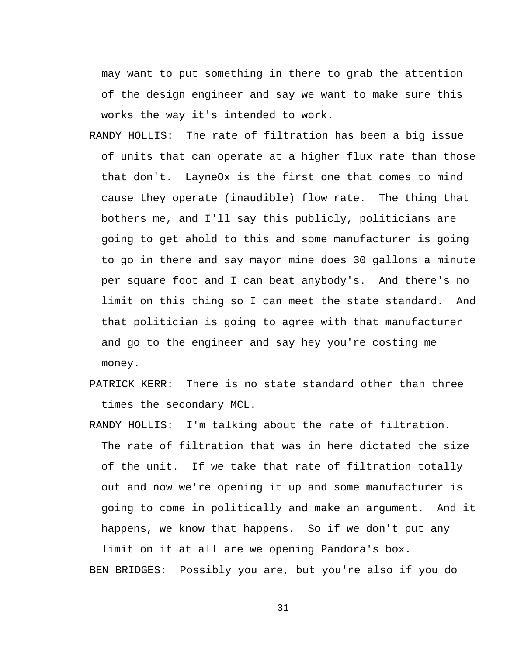may want to put something in there to grab the attention of the design engineer and say we want to make sure this works the way it's intended to work.

- RANDY HOLLIS: The rate of filtration has been a big issue of units that can operate at a higher flux rate than those that don't. LayneOx is the first one that comes to mind cause they operate (inaudible) flow rate. The thing that bothers me, and I'll say this publicly, politicians are going to get ahold to this and some manufacturer is going to go in there and say mayor mine does 30 gallons a minute per square foot and I can beat anybody's. And there's no limit on this thing so I can meet the state standard. And that politician is going to agree with that manufacturer and go to the engineer and say hey you're costing me money.
- PATRICK KERR: There is no state standard other than three times the secondary MCL.
- RANDY HOLLIS: I'm talking about the rate of filtration. The rate of filtration that was in here dictated the size of the unit. If we take that rate of filtration totally out and now we're opening it up and some manufacturer is going to come in politically and make an argument. And it happens, we know that happens. So if we don't put any

limit on it at all are we opening Pandora's box. BEN BRIDGES: Possibly you are, but you're also if you do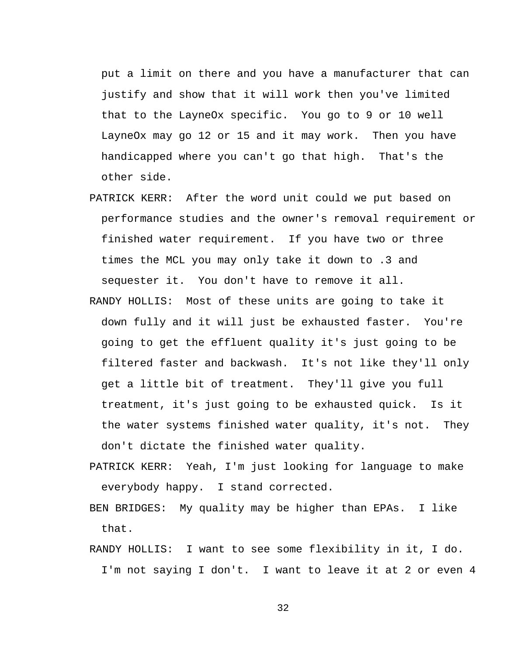put a limit on there and you have a manufacturer that can justify and show that it will work then you've limited that to the LayneOx specific. You go to 9 or 10 well LayneOx may go 12 or 15 and it may work. Then you have handicapped where you can't go that high. That's the other side.

- PATRICK KERR: After the word unit could we put based on performance studies and the owner's removal requirement or finished water requirement. If you have two or three times the MCL you may only take it down to .3 and sequester it. You don't have to remove it all.
- RANDY HOLLIS: Most of these units are going to take it down fully and it will just be exhausted faster. You're going to get the effluent quality it's just going to be filtered faster and backwash. It's not like they'll only get a little bit of treatment. They'll give you full treatment, it's just going to be exhausted quick. Is it the water systems finished water quality, it's not. They don't dictate the finished water quality.
- PATRICK KERR: Yeah, I'm just looking for language to make everybody happy. I stand corrected.
- BEN BRIDGES: My quality may be higher than EPAs. I like that.
- RANDY HOLLIS: I want to see some flexibility in it, I do. I'm not saying I don't. I want to leave it at 2 or even 4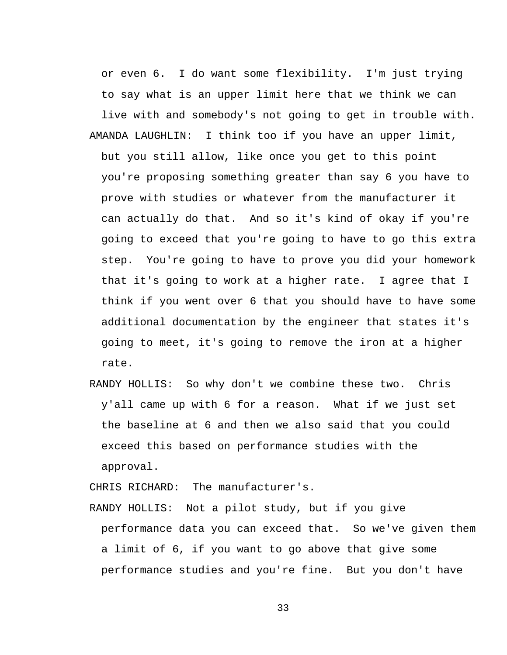or even 6. I do want some flexibility. I'm just trying to say what is an upper limit here that we think we can live with and somebody's not going to get in trouble with.

- AMANDA LAUGHLIN: I think too if you have an upper limit, but you still allow, like once you get to this point you're proposing something greater than say 6 you have to prove with studies or whatever from the manufacturer it can actually do that. And so it's kind of okay if you're going to exceed that you're going to have to go this extra step. You're going to have to prove you did your homework that it's going to work at a higher rate. I agree that I think if you went over 6 that you should have to have some additional documentation by the engineer that states it's going to meet, it's going to remove the iron at a higher rate.
- RANDY HOLLIS: So why don't we combine these two. Chris y'all came up with 6 for a reason. What if we just set the baseline at 6 and then we also said that you could exceed this based on performance studies with the approval.

CHRIS RICHARD: The manufacturer's.

RANDY HOLLIS: Not a pilot study, but if you give performance data you can exceed that. So we've given them a limit of 6, if you want to go above that give some performance studies and you're fine. But you don't have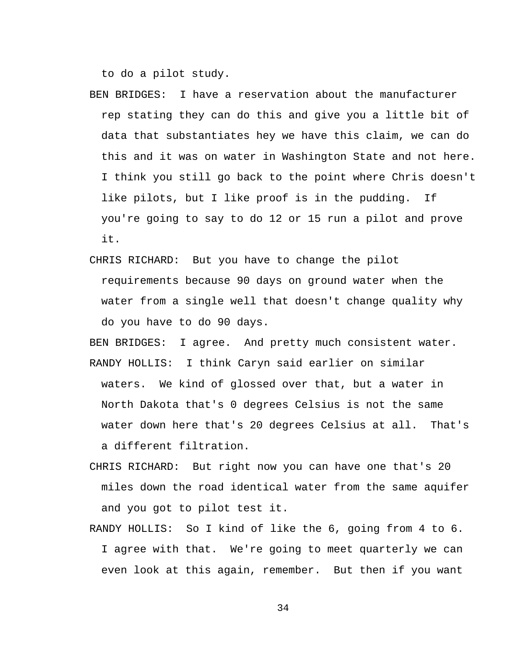to do a pilot study.

- BEN BRIDGES: I have a reservation about the manufacturer rep stating they can do this and give you a little bit of data that substantiates hey we have this claim, we can do this and it was on water in Washington State and not here. I think you still go back to the point where Chris doesn't like pilots, but I like proof is in the pudding. If you're going to say to do 12 or 15 run a pilot and prove it.
- CHRIS RICHARD: But you have to change the pilot requirements because 90 days on ground water when the water from a single well that doesn't change quality why do you have to do 90 days.

BEN BRIDGES: I agree. And pretty much consistent water. RANDY HOLLIS: I think Caryn said earlier on similar waters. We kind of glossed over that, but a water in North Dakota that's 0 degrees Celsius is not the same water down here that's 20 degrees Celsius at all. That's a different filtration.

- CHRIS RICHARD: But right now you can have one that's 20 miles down the road identical water from the same aquifer and you got to pilot test it.
- RANDY HOLLIS: So I kind of like the 6, going from 4 to 6. I agree with that. We're going to meet quarterly we can even look at this again, remember. But then if you want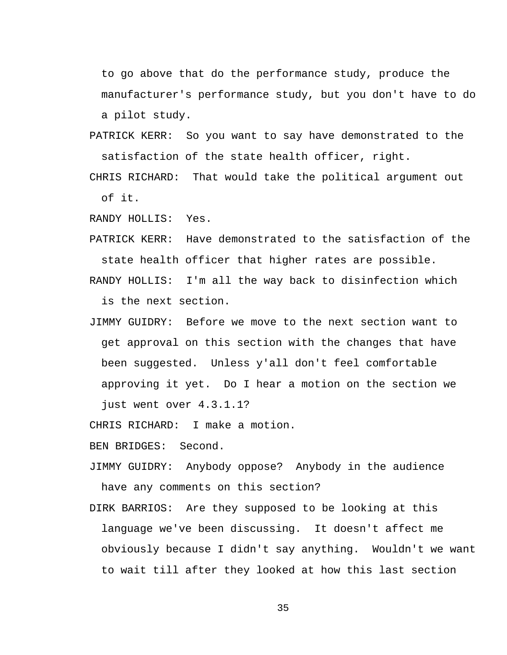to go above that do the performance study, produce the manufacturer's performance study, but you don't have to do a pilot study.

PATRICK KERR: So you want to say have demonstrated to the satisfaction of the state health officer, right.

CHRIS RICHARD: That would take the political argument out of it.

RANDY HOLLIS: Yes.

PATRICK KERR: Have demonstrated to the satisfaction of the state health officer that higher rates are possible.

RANDY HOLLIS: I'm all the way back to disinfection which is the next section.

JIMMY GUIDRY: Before we move to the next section want to get approval on this section with the changes that have been suggested. Unless y'all don't feel comfortable approving it yet. Do I hear a motion on the section we just went over 4.3.1.1?

CHRIS RICHARD: I make a motion.

BEN BRIDGES: Second.

- JIMMY GUIDRY: Anybody oppose? Anybody in the audience have any comments on this section?
- DIRK BARRIOS: Are they supposed to be looking at this language we've been discussing. It doesn't affect me obviously because I didn't say anything. Wouldn't we want to wait till after they looked at how this last section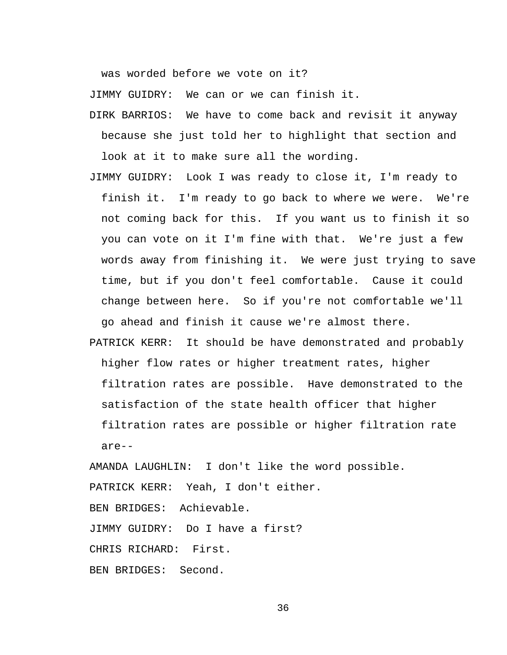was worded before we vote on it?

JIMMY GUIDRY: We can or we can finish it.

- DIRK BARRIOS: We have to come back and revisit it anyway because she just told her to highlight that section and look at it to make sure all the wording.
- JIMMY GUIDRY: Look I was ready to close it, I'm ready to finish it. I'm ready to go back to where we were. We're not coming back for this. If you want us to finish it so you can vote on it I'm fine with that. We're just a few words away from finishing it. We were just trying to save time, but if you don't feel comfortable. Cause it could change between here. So if you're not comfortable we'll go ahead and finish it cause we're almost there.
- PATRICK KERR: It should be have demonstrated and probably higher flow rates or higher treatment rates, higher filtration rates are possible. Have demonstrated to the satisfaction of the state health officer that higher filtration rates are possible or higher filtration rate are--

AMANDA LAUGHLIN: I don't like the word possible. PATRICK KERR: Yeah, I don't either. BEN BRIDGES: Achievable. JIMMY GUIDRY: Do I have a first? CHRIS RICHARD: First. BEN BRIDGES: Second.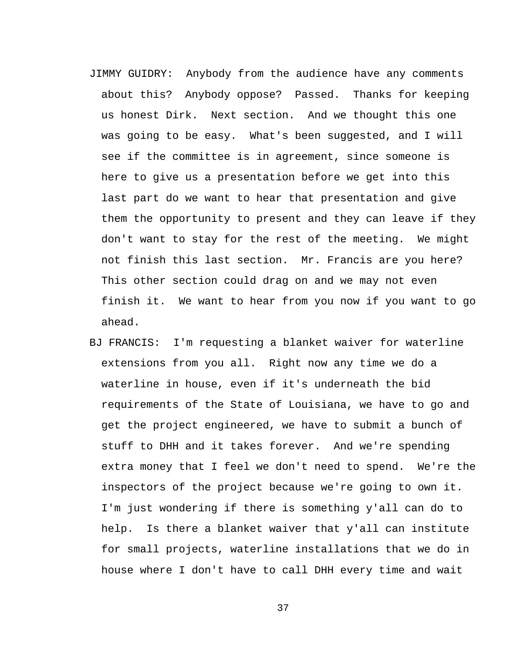- JIMMY GUIDRY: Anybody from the audience have any comments about this? Anybody oppose? Passed. Thanks for keeping us honest Dirk. Next section. And we thought this one was going to be easy. What's been suggested, and I will see if the committee is in agreement, since someone is here to give us a presentation before we get into this last part do we want to hear that presentation and give them the opportunity to present and they can leave if they don't want to stay for the rest of the meeting. We might not finish this last section. Mr. Francis are you here? This other section could drag on and we may not even finish it. We want to hear from you now if you want to go ahead.
- BJ FRANCIS: I'm requesting a blanket waiver for waterline extensions from you all. Right now any time we do a waterline in house, even if it's underneath the bid requirements of the State of Louisiana, we have to go and get the project engineered, we have to submit a bunch of stuff to DHH and it takes forever. And we're spending extra money that I feel we don't need to spend. We're the inspectors of the project because we're going to own it. I'm just wondering if there is something y'all can do to help. Is there a blanket waiver that y'all can institute for small projects, waterline installations that we do in house where I don't have to call DHH every time and wait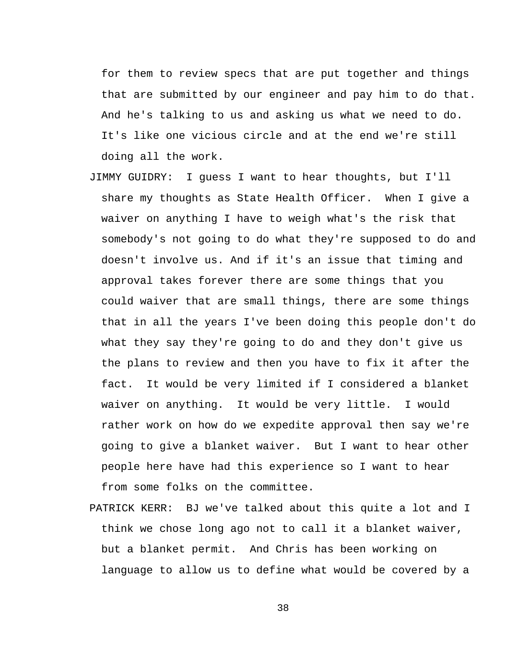for them to review specs that are put together and things that are submitted by our engineer and pay him to do that. And he's talking to us and asking us what we need to do. It's like one vicious circle and at the end we're still doing all the work.

- JIMMY GUIDRY: I guess I want to hear thoughts, but I'll share my thoughts as State Health Officer. When I give a waiver on anything I have to weigh what's the risk that somebody's not going to do what they're supposed to do and doesn't involve us. And if it's an issue that timing and approval takes forever there are some things that you could waiver that are small things, there are some things that in all the years I've been doing this people don't do what they say they're going to do and they don't give us the plans to review and then you have to fix it after the fact. It would be very limited if I considered a blanket waiver on anything. It would be very little. I would rather work on how do we expedite approval then say we're going to give a blanket waiver. But I want to hear other people here have had this experience so I want to hear from some folks on the committee.
- PATRICK KERR: BJ we've talked about this quite a lot and I think we chose long ago not to call it a blanket waiver, but a blanket permit. And Chris has been working on language to allow us to define what would be covered by a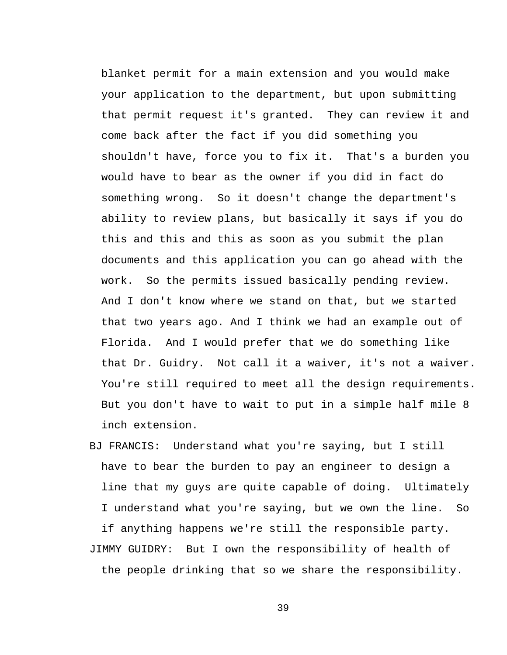blanket permit for a main extension and you would make your application to the department, but upon submitting that permit request it's granted. They can review it and come back after the fact if you did something you shouldn't have, force you to fix it. That's a burden you would have to bear as the owner if you did in fact do something wrong. So it doesn't change the department's ability to review plans, but basically it says if you do this and this and this as soon as you submit the plan documents and this application you can go ahead with the work. So the permits issued basically pending review. And I don't know where we stand on that, but we started that two years ago. And I think we had an example out of Florida. And I would prefer that we do something like that Dr. Guidry. Not call it a waiver, it's not a waiver. You're still required to meet all the design requirements. But you don't have to wait to put in a simple half mile 8 inch extension.

BJ FRANCIS: Understand what you're saying, but I still have to bear the burden to pay an engineer to design a line that my guys are quite capable of doing. Ultimately I understand what you're saying, but we own the line. So if anything happens we're still the responsible party. JIMMY GUIDRY: But I own the responsibility of health of the people drinking that so we share the responsibility.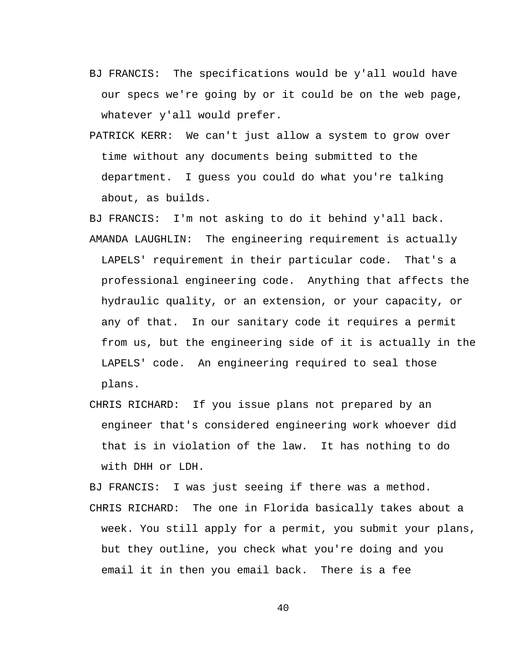- BJ FRANCIS: The specifications would be y'all would have our specs we're going by or it could be on the web page, whatever y'all would prefer.
- PATRICK KERR: We can't just allow a system to grow over time without any documents being submitted to the department. I guess you could do what you're talking about, as builds.

BJ FRANCIS: I'm not asking to do it behind y'all back. AMANDA LAUGHLIN: The engineering requirement is actually LAPELS' requirement in their particular code. That's a professional engineering code. Anything that affects the hydraulic quality, or an extension, or your capacity, or any of that. In our sanitary code it requires a permit from us, but the engineering side of it is actually in the LAPELS' code. An engineering required to seal those plans.

CHRIS RICHARD: If you issue plans not prepared by an engineer that's considered engineering work whoever did that is in violation of the law. It has nothing to do with DHH or LDH.

BJ FRANCIS: I was just seeing if there was a method.

CHRIS RICHARD: The one in Florida basically takes about a week. You still apply for a permit, you submit your plans, but they outline, you check what you're doing and you email it in then you email back. There is a fee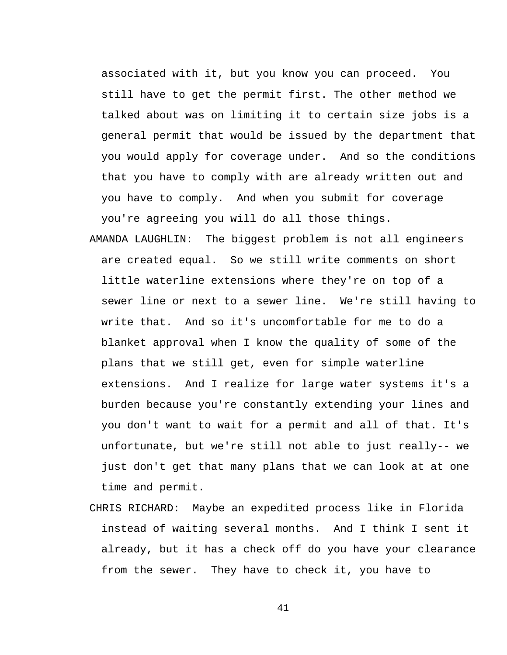associated with it, but you know you can proceed. You still have to get the permit first. The other method we talked about was on limiting it to certain size jobs is a general permit that would be issued by the department that you would apply for coverage under. And so the conditions that you have to comply with are already written out and you have to comply. And when you submit for coverage you're agreeing you will do all those things.

- AMANDA LAUGHLIN: The biggest problem is not all engineers are created equal. So we still write comments on short little waterline extensions where they're on top of a sewer line or next to a sewer line. We're still having to write that. And so it's uncomfortable for me to do a blanket approval when I know the quality of some of the plans that we still get, even for simple waterline extensions. And I realize for large water systems it's a burden because you're constantly extending your lines and you don't want to wait for a permit and all of that. It's unfortunate, but we're still not able to just really-- we just don't get that many plans that we can look at at one time and permit.
- CHRIS RICHARD: Maybe an expedited process like in Florida instead of waiting several months. And I think I sent it already, but it has a check off do you have your clearance from the sewer. They have to check it, you have to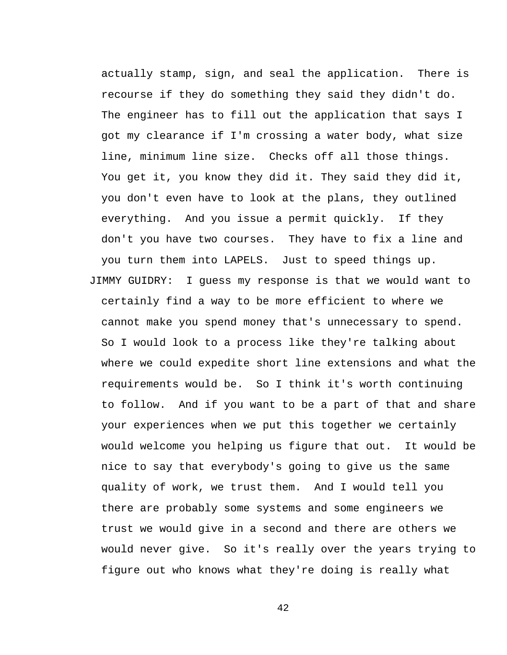actually stamp, sign, and seal the application. There is recourse if they do something they said they didn't do. The engineer has to fill out the application that says I got my clearance if I'm crossing a water body, what size line, minimum line size. Checks off all those things. You get it, you know they did it. They said they did it, you don't even have to look at the plans, they outlined everything. And you issue a permit quickly. If they don't you have two courses. They have to fix a line and you turn them into LAPELS. Just to speed things up. JIMMY GUIDRY: I guess my response is that we would want to certainly find a way to be more efficient to where we cannot make you spend money that's unnecessary to spend. So I would look to a process like they're talking about where we could expedite short line extensions and what the requirements would be. So I think it's worth continuing to follow. And if you want to be a part of that and share your experiences when we put this together we certainly would welcome you helping us figure that out. It would be nice to say that everybody's going to give us the same quality of work, we trust them. And I would tell you there are probably some systems and some engineers we trust we would give in a second and there are others we would never give. So it's really over the years trying to figure out who knows what they're doing is really what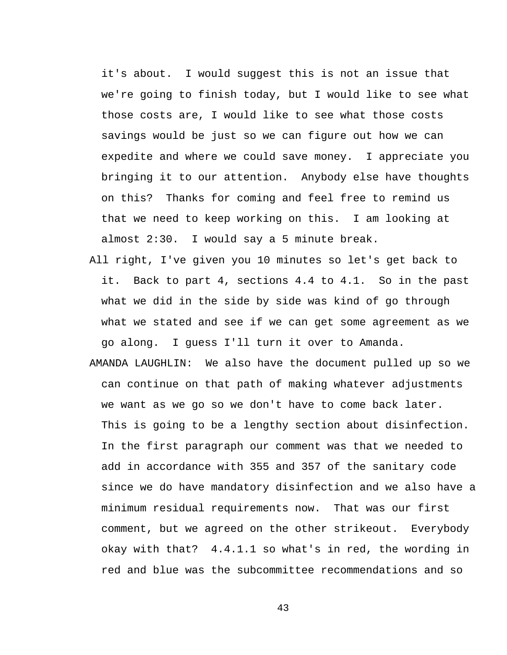it's about. I would suggest this is not an issue that we're going to finish today, but I would like to see what those costs are, I would like to see what those costs savings would be just so we can figure out how we can expedite and where we could save money. I appreciate you bringing it to our attention. Anybody else have thoughts on this? Thanks for coming and feel free to remind us that we need to keep working on this. I am looking at almost 2:30. I would say a 5 minute break.

- All right, I've given you 10 minutes so let's get back to it. Back to part 4, sections 4.4 to 4.1. So in the past what we did in the side by side was kind of go through what we stated and see if we can get some agreement as we go along. I guess I'll turn it over to Amanda.
- AMANDA LAUGHLIN: We also have the document pulled up so we can continue on that path of making whatever adjustments we want as we go so we don't have to come back later. This is going to be a lengthy section about disinfection. In the first paragraph our comment was that we needed to add in accordance with 355 and 357 of the sanitary code since we do have mandatory disinfection and we also have a minimum residual requirements now. That was our first comment, but we agreed on the other strikeout. Everybody okay with that? 4.4.1.1 so what's in red, the wording in red and blue was the subcommittee recommendations and so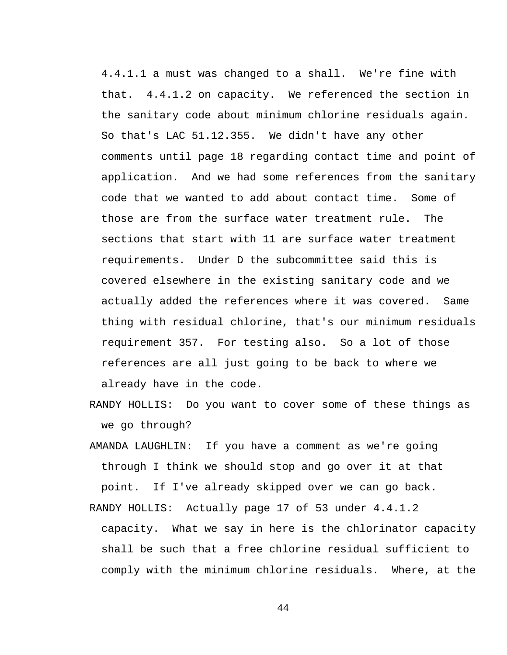4.4.1.1 a must was changed to a shall. We're fine with that. 4.4.1.2 on capacity. We referenced the section in the sanitary code about minimum chlorine residuals again. So that's LAC 51.12.355. We didn't have any other comments until page 18 regarding contact time and point of application. And we had some references from the sanitary code that we wanted to add about contact time. Some of those are from the surface water treatment rule. The sections that start with 11 are surface water treatment requirements. Under D the subcommittee said this is covered elsewhere in the existing sanitary code and we actually added the references where it was covered. Same thing with residual chlorine, that's our minimum residuals requirement 357. For testing also. So a lot of those references are all just going to be back to where we already have in the code.

- RANDY HOLLIS: Do you want to cover some of these things as we go through?
- AMANDA LAUGHLIN: If you have a comment as we're going through I think we should stop and go over it at that point. If I've already skipped over we can go back.
- RANDY HOLLIS: Actually page 17 of 53 under 4.4.1.2 capacity. What we say in here is the chlorinator capacity shall be such that a free chlorine residual sufficient to comply with the minimum chlorine residuals. Where, at the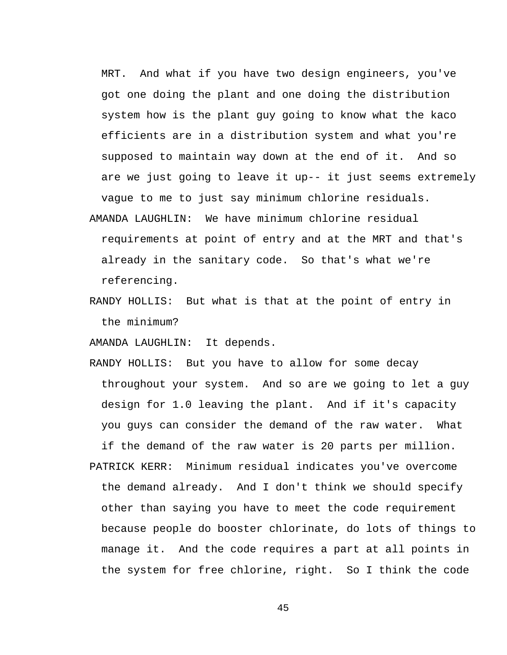MRT. And what if you have two design engineers, you've got one doing the plant and one doing the distribution system how is the plant guy going to know what the kaco efficients are in a distribution system and what you're supposed to maintain way down at the end of it. And so are we just going to leave it up-- it just seems extremely vague to me to just say minimum chlorine residuals.

- AMANDA LAUGHLIN: We have minimum chlorine residual requirements at point of entry and at the MRT and that's already in the sanitary code. So that's what we're referencing.
- RANDY HOLLIS: But what is that at the point of entry in the minimum?

AMANDA LAUGHLIN: It depends.

RANDY HOLLIS: But you have to allow for some decay throughout your system. And so are we going to let a guy design for 1.0 leaving the plant. And if it's capacity you guys can consider the demand of the raw water. What if the demand of the raw water is 20 parts per million. PATRICK KERR: Minimum residual indicates you've overcome the demand already. And I don't think we should specify other than saying you have to meet the code requirement because people do booster chlorinate, do lots of things to manage it. And the code requires a part at all points in the system for free chlorine, right. So I think the code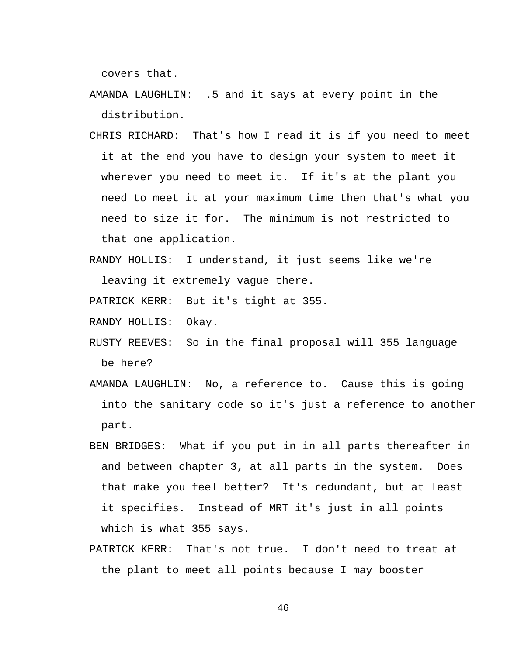covers that.

- AMANDA LAUGHLIN: .5 and it says at every point in the distribution.
- CHRIS RICHARD: That's how I read it is if you need to meet it at the end you have to design your system to meet it wherever you need to meet it. If it's at the plant you need to meet it at your maximum time then that's what you need to size it for. The minimum is not restricted to that one application.
- RANDY HOLLIS: I understand, it just seems like we're leaving it extremely vague there.

PATRICK KERR: But it's tight at 355.

RANDY HOLLIS: Okay.

- RUSTY REEVES: So in the final proposal will 355 language be here?
- AMANDA LAUGHLIN: No, a reference to. Cause this is going into the sanitary code so it's just a reference to another part.
- BEN BRIDGES: What if you put in in all parts thereafter in and between chapter 3, at all parts in the system. Does that make you feel better? It's redundant, but at least it specifies. Instead of MRT it's just in all points which is what 355 says.
- PATRICK KERR: That's not true. I don't need to treat at the plant to meet all points because I may booster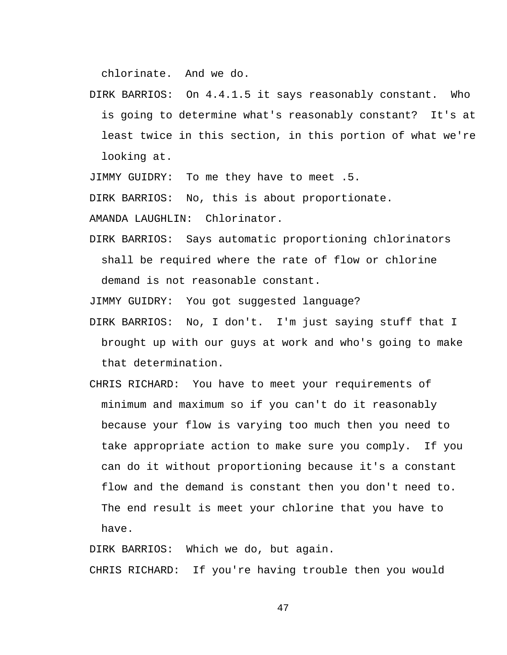chlorinate. And we do.

DIRK BARRIOS: On 4.4.1.5 it says reasonably constant. Who is going to determine what's reasonably constant? It's at least twice in this section, in this portion of what we're looking at.

JIMMY GUIDRY: To me they have to meet .5.

DIRK BARRIOS: No, this is about proportionate.

AMANDA LAUGHLIN: Chlorinator.

DIRK BARRIOS: Says automatic proportioning chlorinators shall be required where the rate of flow or chlorine demand is not reasonable constant.

JIMMY GUIDRY: You got suggested language?

- DIRK BARRIOS: No, I don't. I'm just saying stuff that I brought up with our guys at work and who's going to make that determination.
- CHRIS RICHARD: You have to meet your requirements of minimum and maximum so if you can't do it reasonably because your flow is varying too much then you need to take appropriate action to make sure you comply. If you can do it without proportioning because it's a constant flow and the demand is constant then you don't need to. The end result is meet your chlorine that you have to have.

DIRK BARRIOS: Which we do, but again. CHRIS RICHARD: If you're having trouble then you would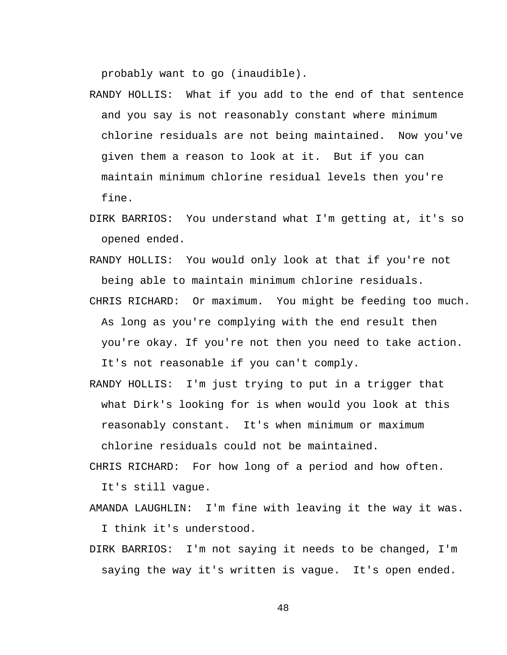probably want to go (inaudible).

- RANDY HOLLIS: What if you add to the end of that sentence and you say is not reasonably constant where minimum chlorine residuals are not being maintained. Now you've given them a reason to look at it. But if you can maintain minimum chlorine residual levels then you're fine.
- DIRK BARRIOS: You understand what I'm getting at, it's so opened ended.
- RANDY HOLLIS: You would only look at that if you're not being able to maintain minimum chlorine residuals.
- CHRIS RICHARD: Or maximum. You might be feeding too much. As long as you're complying with the end result then you're okay. If you're not then you need to take action. It's not reasonable if you can't comply.
- RANDY HOLLIS: I'm just trying to put in a trigger that what Dirk's looking for is when would you look at this reasonably constant. It's when minimum or maximum chlorine residuals could not be maintained.
- CHRIS RICHARD: For how long of a period and how often. It's still vague.
- AMANDA LAUGHLIN: I'm fine with leaving it the way it was. I think it's understood.
- DIRK BARRIOS: I'm not saying it needs to be changed, I'm saying the way it's written is vague. It's open ended.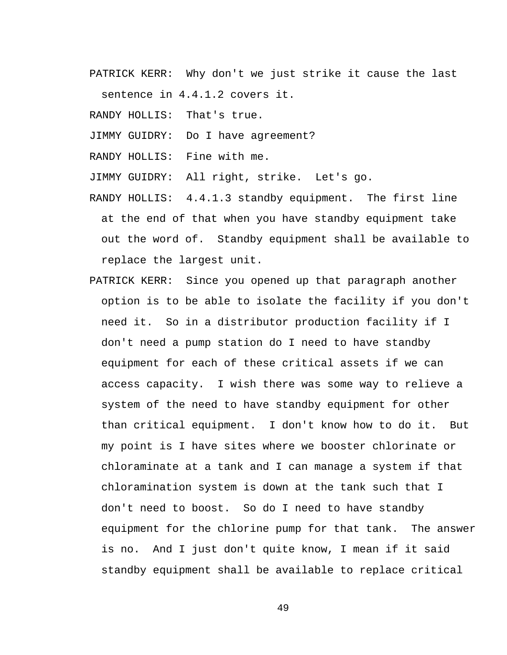PATRICK KERR: Why don't we just strike it cause the last sentence in 4.4.1.2 covers it.

RANDY HOLLIS: That's true.

JIMMY GUIDRY: Do I have agreement?

RANDY HOLLIS: Fine with me.

JIMMY GUIDRY: All right, strike. Let's go.

RANDY HOLLIS: 4.4.1.3 standby equipment. The first line at the end of that when you have standby equipment take out the word of. Standby equipment shall be available to replace the largest unit.

PATRICK KERR: Since you opened up that paragraph another option is to be able to isolate the facility if you don't need it. So in a distributor production facility if I don't need a pump station do I need to have standby equipment for each of these critical assets if we can access capacity. I wish there was some way to relieve a system of the need to have standby equipment for other than critical equipment. I don't know how to do it. But my point is I have sites where we booster chlorinate or chloraminate at a tank and I can manage a system if that chloramination system is down at the tank such that I don't need to boost. So do I need to have standby equipment for the chlorine pump for that tank. The answer is no. And I just don't quite know, I mean if it said standby equipment shall be available to replace critical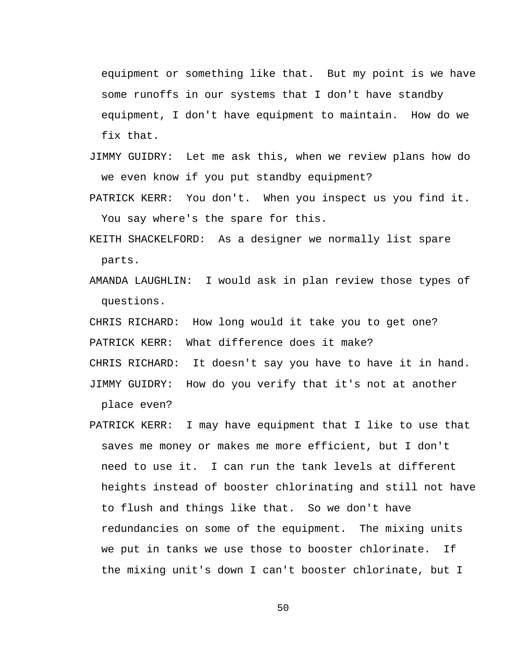equipment or something like that. But my point is we have some runoffs in our systems that I don't have standby equipment, I don't have equipment to maintain. How do we fix that.

- JIMMY GUIDRY: Let me ask this, when we review plans how do we even know if you put standby equipment?
- PATRICK KERR: You don't. When you inspect us you find it. You say where's the spare for this.
- KEITH SHACKELFORD: As a designer we normally list spare parts.
- AMANDA LAUGHLIN: I would ask in plan review those types of questions.

CHRIS RICHARD: How long would it take you to get one? PATRICK KERR: What difference does it make? CHRIS RICHARD: It doesn't say you have to have it in hand.

- JIMMY GUIDRY: How do you verify that it's not at another place even?
- PATRICK KERR: I may have equipment that I like to use that saves me money or makes me more efficient, but I don't need to use it. I can run the tank levels at different heights instead of booster chlorinating and still not have to flush and things like that. So we don't have redundancies on some of the equipment. The mixing units we put in tanks we use those to booster chlorinate. If the mixing unit's down I can't booster chlorinate, but I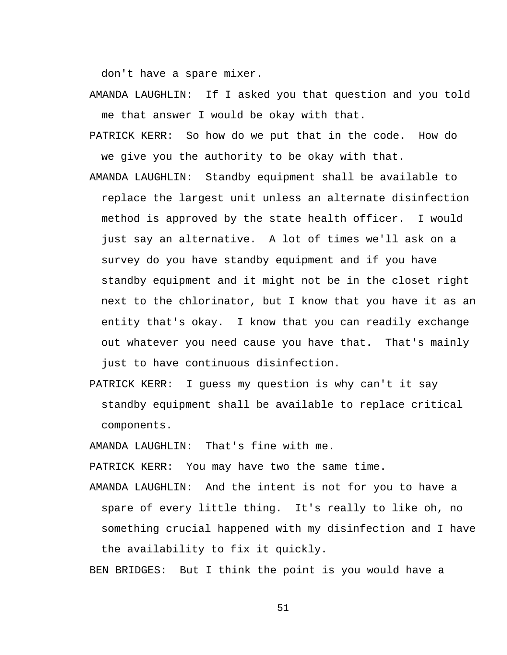don't have a spare mixer.

- AMANDA LAUGHLIN: If I asked you that question and you told me that answer I would be okay with that.
- PATRICK KERR: So how do we put that in the code. How do we give you the authority to be okay with that.
- AMANDA LAUGHLIN: Standby equipment shall be available to replace the largest unit unless an alternate disinfection method is approved by the state health officer. I would just say an alternative. A lot of times we'll ask on a survey do you have standby equipment and if you have standby equipment and it might not be in the closet right next to the chlorinator, but I know that you have it as an entity that's okay. I know that you can readily exchange out whatever you need cause you have that. That's mainly just to have continuous disinfection.
- PATRICK KERR: I guess my question is why can't it say standby equipment shall be available to replace critical components.

AMANDA LAUGHLIN: That's fine with me.

PATRICK KERR: You may have two the same time.

AMANDA LAUGHLIN: And the intent is not for you to have a spare of every little thing. It's really to like oh, no something crucial happened with my disinfection and I have the availability to fix it quickly.

BEN BRIDGES: But I think the point is you would have a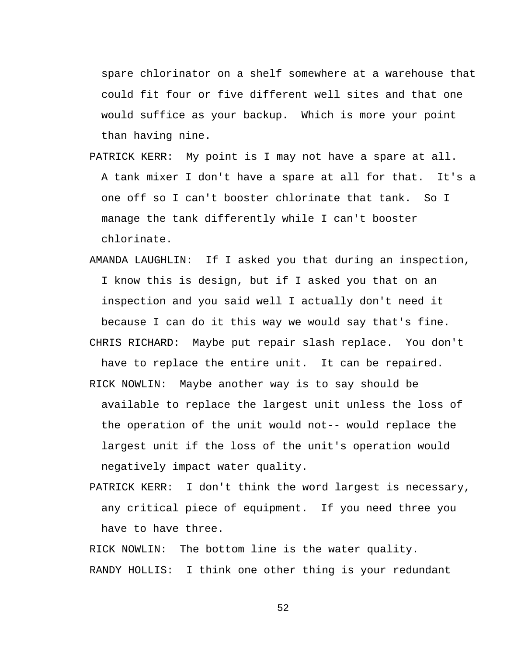spare chlorinator on a shelf somewhere at a warehouse that could fit four or five different well sites and that one would suffice as your backup. Which is more your point than having nine.

- PATRICK KERR: My point is I may not have a spare at all. A tank mixer I don't have a spare at all for that. It's a one off so I can't booster chlorinate that tank. So I manage the tank differently while I can't booster chlorinate.
- AMANDA LAUGHLIN: If I asked you that during an inspection, I know this is design, but if I asked you that on an inspection and you said well I actually don't need it because I can do it this way we would say that's fine. CHRIS RICHARD: Maybe put repair slash replace. You don't
- have to replace the entire unit. It can be repaired.
- RICK NOWLIN: Maybe another way is to say should be available to replace the largest unit unless the loss of the operation of the unit would not-- would replace the largest unit if the loss of the unit's operation would negatively impact water quality.
- PATRICK KERR: I don't think the word largest is necessary, any critical piece of equipment. If you need three you have to have three.

RICK NOWLIN: The bottom line is the water quality. RANDY HOLLIS: I think one other thing is your redundant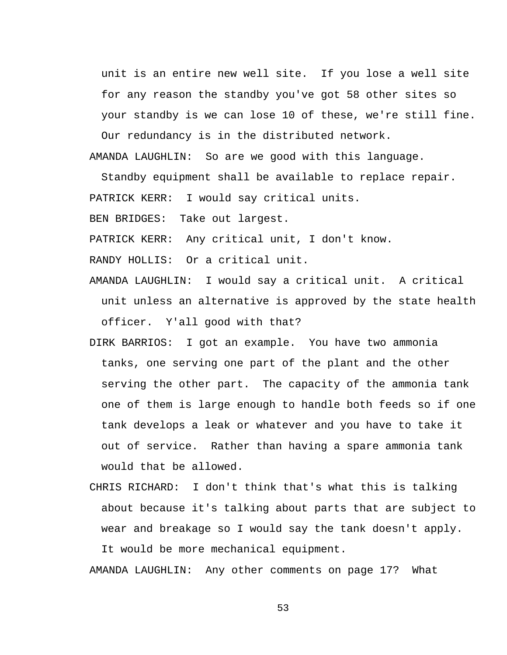unit is an entire new well site. If you lose a well site for any reason the standby you've got 58 other sites so your standby is we can lose 10 of these, we're still fine.

Our redundancy is in the distributed network. AMANDA LAUGHLIN: So are we good with this language.

Standby equipment shall be available to replace repair. PATRICK KERR: I would say critical units.

BEN BRIDGES: Take out largest.

PATRICK KERR: Any critical unit, I don't know.

RANDY HOLLIS: Or a critical unit.

- AMANDA LAUGHLIN: I would say a critical unit. A critical unit unless an alternative is approved by the state health officer. Y'all good with that?
- DIRK BARRIOS: I got an example. You have two ammonia tanks, one serving one part of the plant and the other serving the other part. The capacity of the ammonia tank one of them is large enough to handle both feeds so if one tank develops a leak or whatever and you have to take it out of service. Rather than having a spare ammonia tank would that be allowed.
- CHRIS RICHARD: I don't think that's what this is talking about because it's talking about parts that are subject to wear and breakage so I would say the tank doesn't apply. It would be more mechanical equipment.

AMANDA LAUGHLIN: Any other comments on page 17? What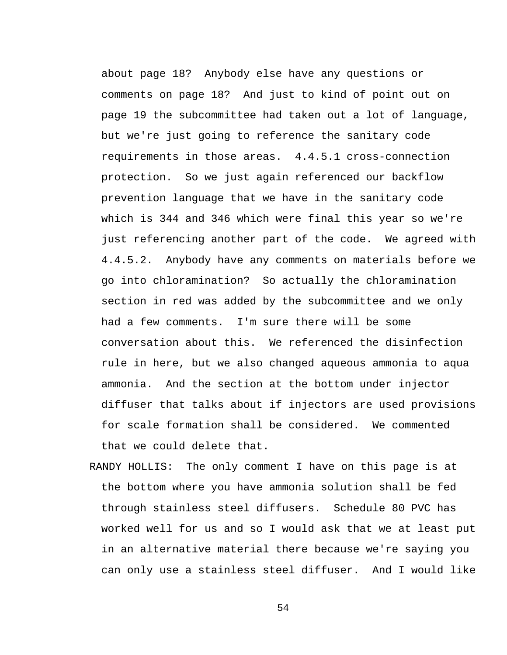about page 18? Anybody else have any questions or comments on page 18? And just to kind of point out on page 19 the subcommittee had taken out a lot of language, but we're just going to reference the sanitary code requirements in those areas. 4.4.5.1 cross-connection protection. So we just again referenced our backflow prevention language that we have in the sanitary code which is 344 and 346 which were final this year so we're just referencing another part of the code. We agreed with 4.4.5.2. Anybody have any comments on materials before we go into chloramination? So actually the chloramination section in red was added by the subcommittee and we only had a few comments. I'm sure there will be some conversation about this. We referenced the disinfection rule in here, but we also changed aqueous ammonia to aqua ammonia. And the section at the bottom under injector diffuser that talks about if injectors are used provisions for scale formation shall be considered. We commented that we could delete that.

RANDY HOLLIS: The only comment I have on this page is at the bottom where you have ammonia solution shall be fed through stainless steel diffusers. Schedule 80 PVC has worked well for us and so I would ask that we at least put in an alternative material there because we're saying you can only use a stainless steel diffuser. And I would like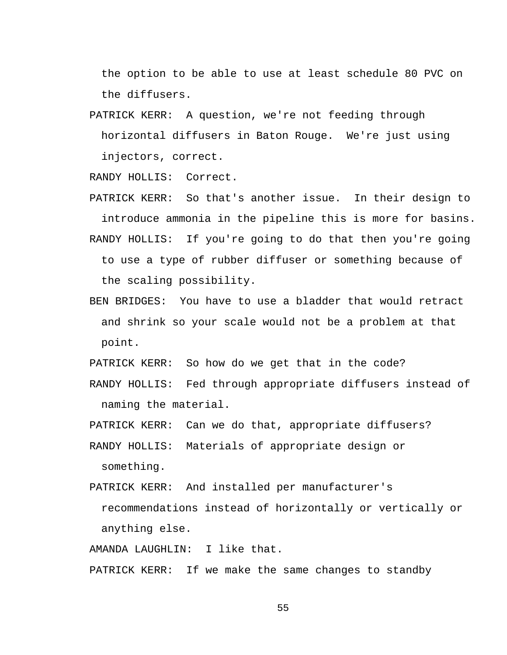the option to be able to use at least schedule 80 PVC on the diffusers.

PATRICK KERR: A question, we're not feeding through horizontal diffusers in Baton Rouge. We're just using injectors, correct.

RANDY HOLLIS: Correct.

- PATRICK KERR: So that's another issue. In their design to introduce ammonia in the pipeline this is more for basins. RANDY HOLLIS: If you're going to do that then you're going to use a type of rubber diffuser or something because of the scaling possibility.
- BEN BRIDGES: You have to use a bladder that would retract and shrink so your scale would not be a problem at that point.

PATRICK KERR: So how do we get that in the code?

- RANDY HOLLIS: Fed through appropriate diffusers instead of naming the material.
- PATRICK KERR: Can we do that, appropriate diffusers?
- RANDY HOLLIS: Materials of appropriate design or something.
- PATRICK KERR: And installed per manufacturer's recommendations instead of horizontally or vertically or anything else.

AMANDA LAUGHLIN: I like that.

PATRICK KERR: If we make the same changes to standby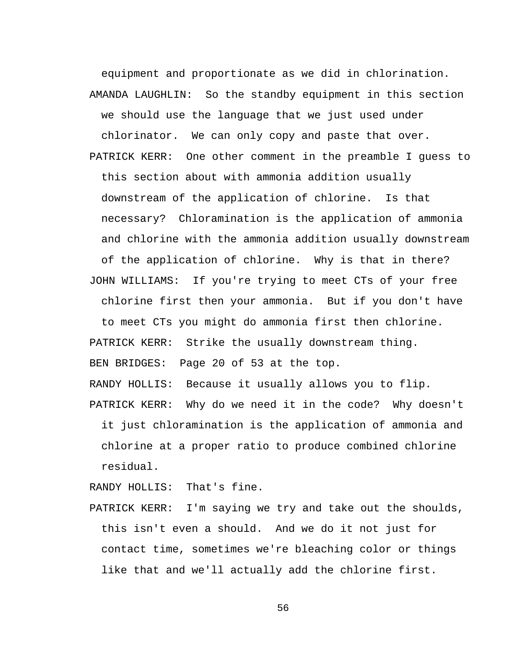equipment and proportionate as we did in chlorination. AMANDA LAUGHLIN: So the standby equipment in this section we should use the language that we just used under chlorinator. We can only copy and paste that over. PATRICK KERR: One other comment in the preamble I guess to this section about with ammonia addition usually downstream of the application of chlorine. Is that necessary? Chloramination is the application of ammonia and chlorine with the ammonia addition usually downstream of the application of chlorine. Why is that in there? JOHN WILLIAMS: If you're trying to meet CTs of your free chlorine first then your ammonia. But if you don't have to meet CTs you might do ammonia first then chlorine. PATRICK KERR: Strike the usually downstream thing. BEN BRIDGES: Page 20 of 53 at the top. RANDY HOLLIS: Because it usually allows you to flip. PATRICK KERR: Why do we need it in the code? Why doesn't it just chloramination is the application of ammonia and chlorine at a proper ratio to produce combined chlorine

residual.

RANDY HOLLIS: That's fine.

PATRICK KERR: I'm saying we try and take out the shoulds, this isn't even a should. And we do it not just for contact time, sometimes we're bleaching color or things like that and we'll actually add the chlorine first.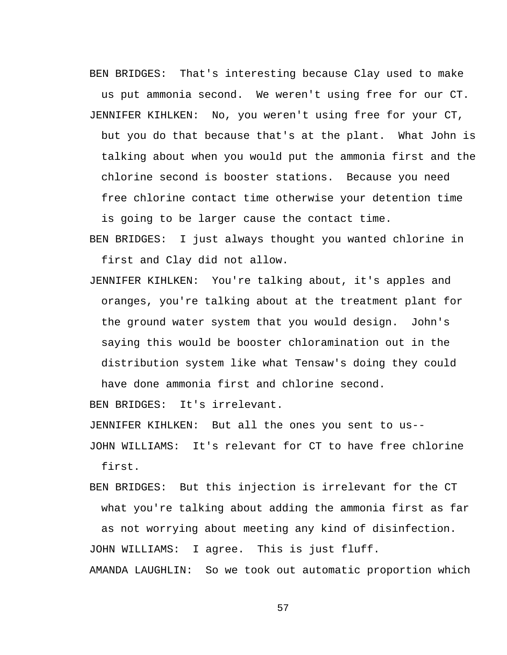BEN BRIDGES: That's interesting because Clay used to make us put ammonia second. We weren't using free for our CT. JENNIFER KIHLKEN: No, you weren't using free for your CT, but you do that because that's at the plant. What John is talking about when you would put the ammonia first and the chlorine second is booster stations. Because you need free chlorine contact time otherwise your detention time is going to be larger cause the contact time.

BEN BRIDGES: I just always thought you wanted chlorine in first and Clay did not allow.

JENNIFER KIHLKEN: You're talking about, it's apples and oranges, you're talking about at the treatment plant for the ground water system that you would design. John's saying this would be booster chloramination out in the distribution system like what Tensaw's doing they could

have done ammonia first and chlorine second.

BEN BRIDGES: It's irrelevant.

JENNIFER KIHLKEN: But all the ones you sent to us--

JOHN WILLIAMS: It's relevant for CT to have free chlorine first.

BEN BRIDGES: But this injection is irrelevant for the CT what you're talking about adding the ammonia first as far as not worrying about meeting any kind of disinfection. JOHN WILLIAMS: I agree. This is just fluff.

AMANDA LAUGHLIN: So we took out automatic proportion which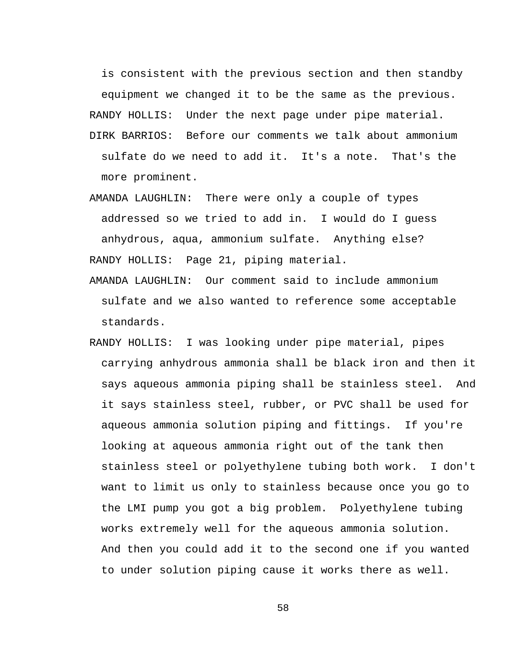is consistent with the previous section and then standby equipment we changed it to be the same as the previous.

RANDY HOLLIS: Under the next page under pipe material.

- DIRK BARRIOS: Before our comments we talk about ammonium sulfate do we need to add it. It's a note. That's the more prominent.
- AMANDA LAUGHLIN: There were only a couple of types addressed so we tried to add in. I would do I guess anhydrous, aqua, ammonium sulfate. Anything else? RANDY HOLLIS: Page 21, piping material.
- AMANDA LAUGHLIN: Our comment said to include ammonium sulfate and we also wanted to reference some acceptable standards.
- RANDY HOLLIS: I was looking under pipe material, pipes carrying anhydrous ammonia shall be black iron and then it says aqueous ammonia piping shall be stainless steel. And it says stainless steel, rubber, or PVC shall be used for aqueous ammonia solution piping and fittings. If you're looking at aqueous ammonia right out of the tank then stainless steel or polyethylene tubing both work. I don't want to limit us only to stainless because once you go to the LMI pump you got a big problem. Polyethylene tubing works extremely well for the aqueous ammonia solution. And then you could add it to the second one if you wanted to under solution piping cause it works there as well.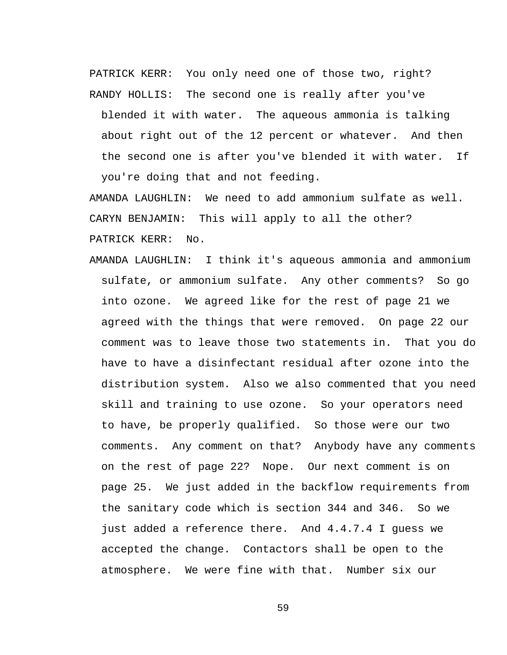PATRICK KERR: You only need one of those two, right? RANDY HOLLIS: The second one is really after you've

blended it with water. The aqueous ammonia is talking about right out of the 12 percent or whatever. And then the second one is after you've blended it with water. If you're doing that and not feeding.

AMANDA LAUGHLIN: We need to add ammonium sulfate as well. CARYN BENJAMIN: This will apply to all the other? PATRICK KERR: No.

AMANDA LAUGHLIN: I think it's aqueous ammonia and ammonium sulfate, or ammonium sulfate. Any other comments? So go into ozone. We agreed like for the rest of page 21 we agreed with the things that were removed. On page 22 our comment was to leave those two statements in. That you do have to have a disinfectant residual after ozone into the distribution system. Also we also commented that you need skill and training to use ozone. So your operators need to have, be properly qualified. So those were our two comments. Any comment on that? Anybody have any comments on the rest of page 22? Nope. Our next comment is on page 25. We just added in the backflow requirements from the sanitary code which is section 344 and 346. So we just added a reference there. And 4.4.7.4 I guess we accepted the change. Contactors shall be open to the atmosphere. We were fine with that. Number six our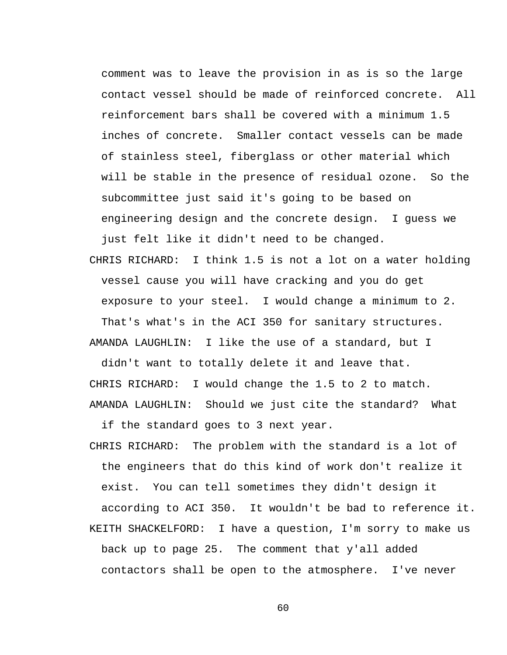comment was to leave the provision in as is so the large contact vessel should be made of reinforced concrete. All reinforcement bars shall be covered with a minimum 1.5 inches of concrete. Smaller contact vessels can be made of stainless steel, fiberglass or other material which will be stable in the presence of residual ozone. So the subcommittee just said it's going to be based on engineering design and the concrete design. I guess we just felt like it didn't need to be changed.

CHRIS RICHARD: I think 1.5 is not a lot on a water holding vessel cause you will have cracking and you do get exposure to your steel. I would change a minimum to 2. That's what's in the ACI 350 for sanitary structures. AMANDA LAUGHLIN: I like the use of a standard, but I

didn't want to totally delete it and leave that. CHRIS RICHARD: I would change the 1.5 to 2 to match. AMANDA LAUGHLIN: Should we just cite the standard? What

if the standard goes to 3 next year.

CHRIS RICHARD: The problem with the standard is a lot of the engineers that do this kind of work don't realize it exist. You can tell sometimes they didn't design it according to ACI 350. It wouldn't be bad to reference it. KEITH SHACKELFORD: I have a question, I'm sorry to make us back up to page 25. The comment that y'all added contactors shall be open to the atmosphere. I've never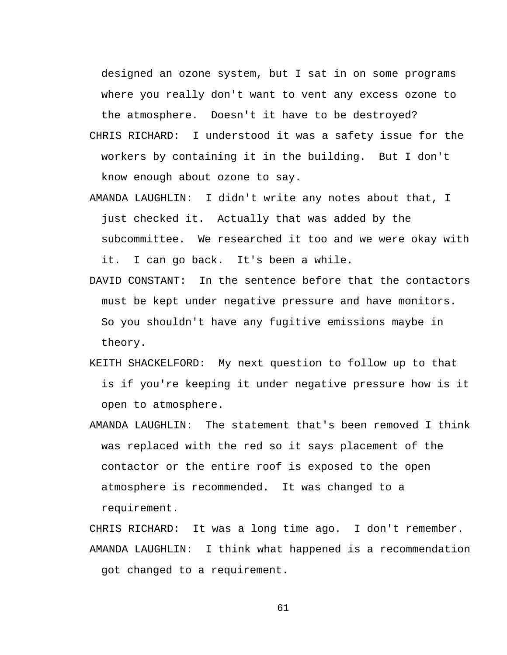designed an ozone system, but I sat in on some programs where you really don't want to vent any excess ozone to the atmosphere. Doesn't it have to be destroyed?

- CHRIS RICHARD: I understood it was a safety issue for the workers by containing it in the building. But I don't know enough about ozone to say.
- AMANDA LAUGHLIN: I didn't write any notes about that, I just checked it. Actually that was added by the subcommittee. We researched it too and we were okay with it. I can go back. It's been a while.
- DAVID CONSTANT: In the sentence before that the contactors must be kept under negative pressure and have monitors. So you shouldn't have any fugitive emissions maybe in theory.
- KEITH SHACKELFORD: My next question to follow up to that is if you're keeping it under negative pressure how is it open to atmosphere.
- AMANDA LAUGHLIN: The statement that's been removed I think was replaced with the red so it says placement of the contactor or the entire roof is exposed to the open atmosphere is recommended. It was changed to a requirement.

CHRIS RICHARD: It was a long time ago. I don't remember. AMANDA LAUGHLIN: I think what happened is a recommendation got changed to a requirement.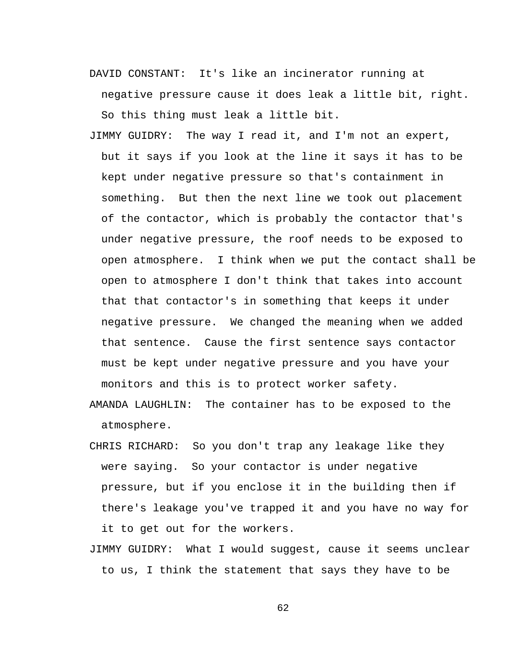- DAVID CONSTANT: It's like an incinerator running at negative pressure cause it does leak a little bit, right. So this thing must leak a little bit.
- JIMMY GUIDRY: The way I read it, and I'm not an expert, but it says if you look at the line it says it has to be kept under negative pressure so that's containment in something. But then the next line we took out placement of the contactor, which is probably the contactor that's under negative pressure, the roof needs to be exposed to open atmosphere. I think when we put the contact shall be open to atmosphere I don't think that takes into account that that contactor's in something that keeps it under negative pressure. We changed the meaning when we added that sentence. Cause the first sentence says contactor must be kept under negative pressure and you have your monitors and this is to protect worker safety.
- AMANDA LAUGHLIN: The container has to be exposed to the atmosphere.
- CHRIS RICHARD: So you don't trap any leakage like they were saying. So your contactor is under negative pressure, but if you enclose it in the building then if there's leakage you've trapped it and you have no way for it to get out for the workers.
- JIMMY GUIDRY: What I would suggest, cause it seems unclear to us, I think the statement that says they have to be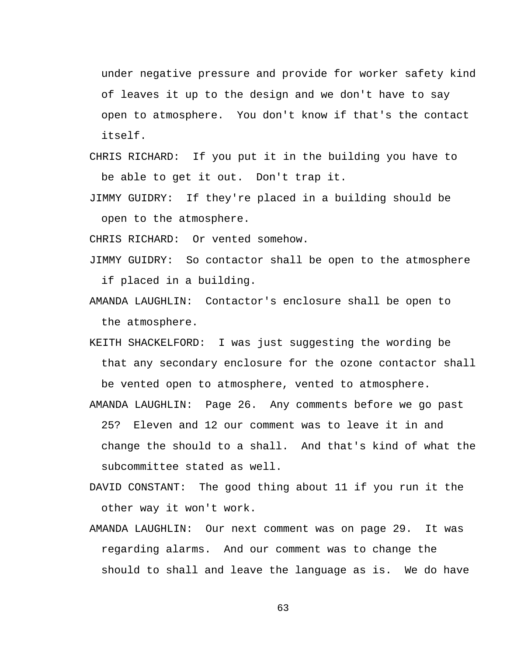under negative pressure and provide for worker safety kind of leaves it up to the design and we don't have to say open to atmosphere. You don't know if that's the contact itself.

- CHRIS RICHARD: If you put it in the building you have to be able to get it out. Don't trap it.
- JIMMY GUIDRY: If they're placed in a building should be open to the atmosphere.

CHRIS RICHARD: Or vented somehow.

- JIMMY GUIDRY: So contactor shall be open to the atmosphere if placed in a building.
- AMANDA LAUGHLIN: Contactor's enclosure shall be open to the atmosphere.
- KEITH SHACKELFORD: I was just suggesting the wording be that any secondary enclosure for the ozone contactor shall be vented open to atmosphere, vented to atmosphere.

AMANDA LAUGHLIN: Page 26. Any comments before we go past 25? Eleven and 12 our comment was to leave it in and change the should to a shall. And that's kind of what the subcommittee stated as well.

- DAVID CONSTANT: The good thing about 11 if you run it the other way it won't work.
- AMANDA LAUGHLIN: Our next comment was on page 29. It was regarding alarms. And our comment was to change the should to shall and leave the language as is. We do have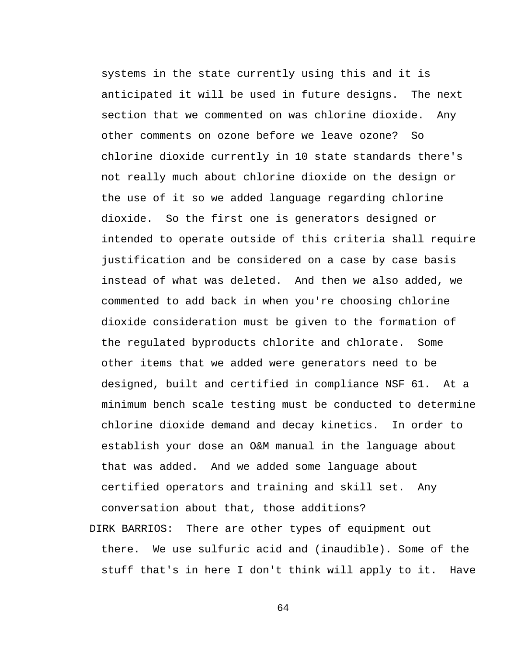systems in the state currently using this and it is anticipated it will be used in future designs. The next section that we commented on was chlorine dioxide. Any other comments on ozone before we leave ozone? So chlorine dioxide currently in 10 state standards there's not really much about chlorine dioxide on the design or the use of it so we added language regarding chlorine dioxide. So the first one is generators designed or intended to operate outside of this criteria shall require justification and be considered on a case by case basis instead of what was deleted. And then we also added, we commented to add back in when you're choosing chlorine dioxide consideration must be given to the formation of the regulated byproducts chlorite and chlorate. Some other items that we added were generators need to be designed, built and certified in compliance NSF 61. At a minimum bench scale testing must be conducted to determine chlorine dioxide demand and decay kinetics. In order to establish your dose an O&M manual in the language about that was added. And we added some language about certified operators and training and skill set. Any conversation about that, those additions?

DIRK BARRIOS: There are other types of equipment out there. We use sulfuric acid and (inaudible). Some of the stuff that's in here I don't think will apply to it. Have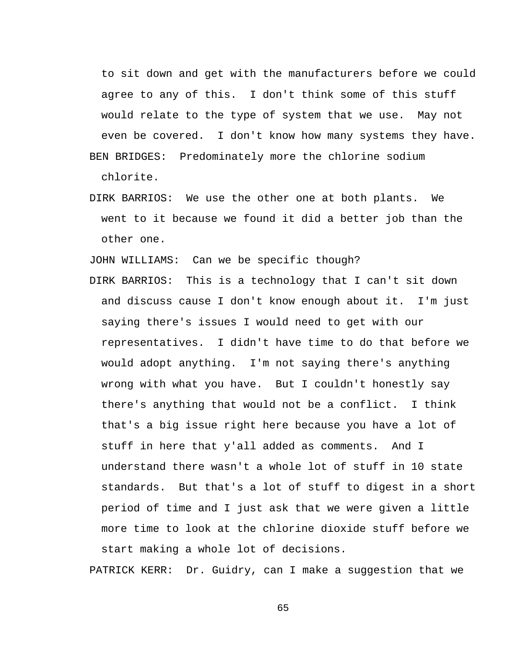to sit down and get with the manufacturers before we could agree to any of this. I don't think some of this stuff would relate to the type of system that we use. May not even be covered. I don't know how many systems they have. BEN BRIDGES: Predominately more the chlorine sodium

chlorite.

DIRK BARRIOS: We use the other one at both plants. We went to it because we found it did a better job than the other one.

JOHN WILLIAMS: Can we be specific though?

DIRK BARRIOS: This is a technology that I can't sit down and discuss cause I don't know enough about it. I'm just saying there's issues I would need to get with our representatives. I didn't have time to do that before we would adopt anything. I'm not saying there's anything wrong with what you have. But I couldn't honestly say there's anything that would not be a conflict. I think that's a big issue right here because you have a lot of stuff in here that y'all added as comments. And I understand there wasn't a whole lot of stuff in 10 state standards. But that's a lot of stuff to digest in a short period of time and I just ask that we were given a little more time to look at the chlorine dioxide stuff before we start making a whole lot of decisions.

PATRICK KERR: Dr. Guidry, can I make a suggestion that we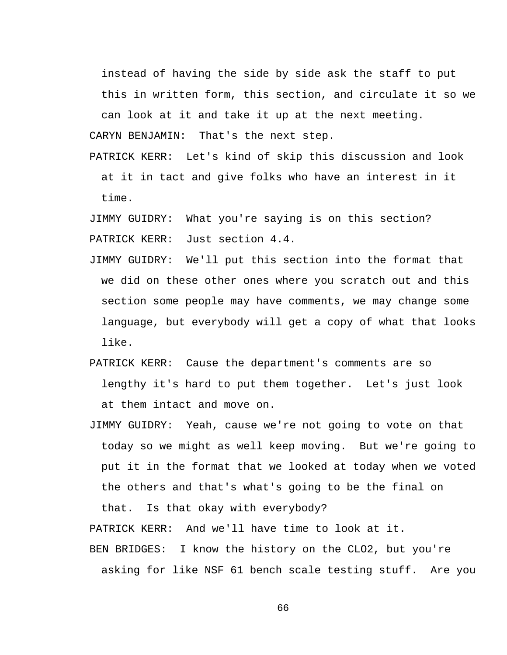instead of having the side by side ask the staff to put this in written form, this section, and circulate it so we can look at it and take it up at the next meeting.

CARYN BENJAMIN: That's the next step.

PATRICK KERR: Let's kind of skip this discussion and look at it in tact and give folks who have an interest in it time.

JIMMY GUIDRY: What you're saying is on this section? PATRICK KERR: Just section 4.4.

- JIMMY GUIDRY: We'll put this section into the format that we did on these other ones where you scratch out and this section some people may have comments, we may change some language, but everybody will get a copy of what that looks like.
- PATRICK KERR: Cause the department's comments are so lengthy it's hard to put them together. Let's just look at them intact and move on.
- JIMMY GUIDRY: Yeah, cause we're not going to vote on that today so we might as well keep moving. But we're going to put it in the format that we looked at today when we voted the others and that's what's going to be the final on

that. Is that okay with everybody?

PATRICK KERR: And we'll have time to look at it.

BEN BRIDGES: I know the history on the CLO2, but you're asking for like NSF 61 bench scale testing stuff. Are you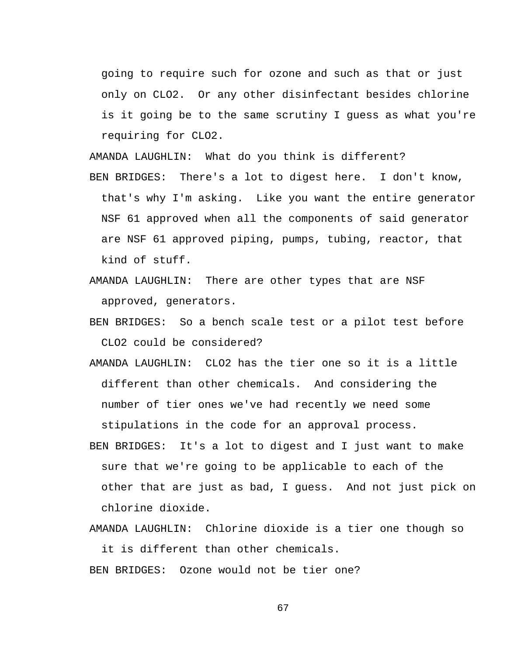going to require such for ozone and such as that or just only on CLO2. Or any other disinfectant besides chlorine is it going be to the same scrutiny I guess as what you're requiring for CLO2.

AMANDA LAUGHLIN: What do you think is different?

- BEN BRIDGES: There's a lot to digest here. I don't know, that's why I'm asking. Like you want the entire generator NSF 61 approved when all the components of said generator are NSF 61 approved piping, pumps, tubing, reactor, that kind of stuff.
- AMANDA LAUGHLIN: There are other types that are NSF approved, generators.
- BEN BRIDGES: So a bench scale test or a pilot test before CLO2 could be considered?
- AMANDA LAUGHLIN: CLO2 has the tier one so it is a little different than other chemicals. And considering the number of tier ones we've had recently we need some stipulations in the code for an approval process.
- BEN BRIDGES: It's a lot to digest and I just want to make sure that we're going to be applicable to each of the other that are just as bad, I guess. And not just pick on chlorine dioxide.

AMANDA LAUGHLIN: Chlorine dioxide is a tier one though so it is different than other chemicals.

BEN BRIDGES: Ozone would not be tier one?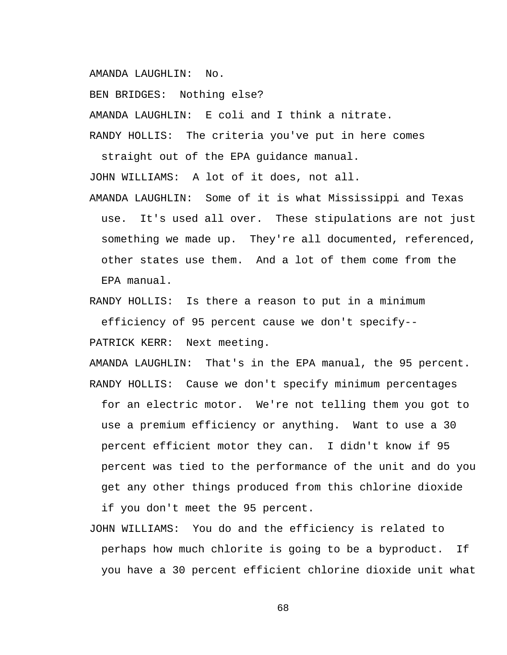AMANDA LAUGHLIN: No.

BEN BRIDGES: Nothing else?

AMANDA LAUGHLIN: E coli and I think a nitrate.

RANDY HOLLIS: The criteria you've put in here comes straight out of the EPA guidance manual.

JOHN WILLIAMS: A lot of it does, not all.

AMANDA LAUGHLIN: Some of it is what Mississippi and Texas use. It's used all over. These stipulations are not just something we made up. They're all documented, referenced, other states use them. And a lot of them come from the EPA manual.

RANDY HOLLIS: Is there a reason to put in a minimum efficiency of 95 percent cause we don't specify-- PATRICK KERR: Next meeting.

AMANDA LAUGHLIN: That's in the EPA manual, the 95 percent. RANDY HOLLIS: Cause we don't specify minimum percentages for an electric motor. We're not telling them you got to use a premium efficiency or anything. Want to use a 30 percent efficient motor they can. I didn't know if 95 percent was tied to the performance of the unit and do you get any other things produced from this chlorine dioxide

if you don't meet the 95 percent.

JOHN WILLIAMS: You do and the efficiency is related to perhaps how much chlorite is going to be a byproduct. If you have a 30 percent efficient chlorine dioxide unit what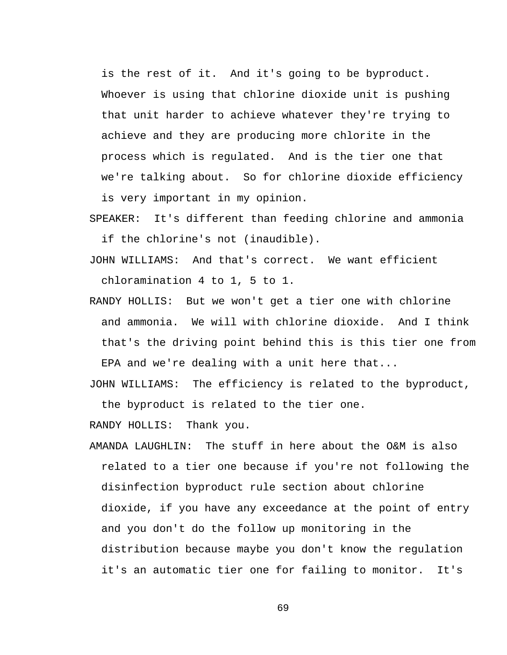is the rest of it. And it's going to be byproduct. Whoever is using that chlorine dioxide unit is pushing that unit harder to achieve whatever they're trying to achieve and they are producing more chlorite in the process which is regulated. And is the tier one that we're talking about. So for chlorine dioxide efficiency is very important in my opinion.

SPEAKER: It's different than feeding chlorine and ammonia if the chlorine's not (inaudible).

- JOHN WILLIAMS: And that's correct. We want efficient chloramination 4 to 1, 5 to 1.
- RANDY HOLLIS: But we won't get a tier one with chlorine and ammonia. We will with chlorine dioxide. And I think that's the driving point behind this is this tier one from EPA and we're dealing with a unit here that...

JOHN WILLIAMS: The efficiency is related to the byproduct,

the byproduct is related to the tier one.

RANDY HOLLIS: Thank you.

AMANDA LAUGHLIN: The stuff in here about the O&M is also related to a tier one because if you're not following the disinfection byproduct rule section about chlorine dioxide, if you have any exceedance at the point of entry and you don't do the follow up monitoring in the distribution because maybe you don't know the regulation it's an automatic tier one for failing to monitor. It's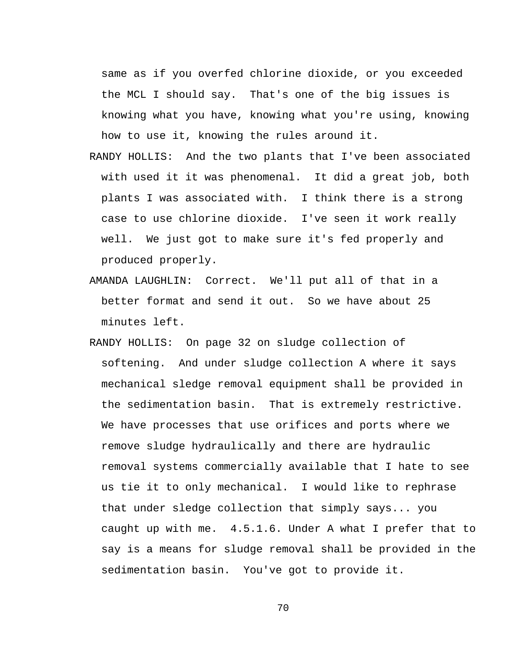same as if you overfed chlorine dioxide, or you exceeded the MCL I should say. That's one of the big issues is knowing what you have, knowing what you're using, knowing how to use it, knowing the rules around it.

- RANDY HOLLIS: And the two plants that I've been associated with used it it was phenomenal. It did a great job, both plants I was associated with. I think there is a strong case to use chlorine dioxide. I've seen it work really well. We just got to make sure it's fed properly and produced properly.
- AMANDA LAUGHLIN: Correct. We'll put all of that in a better format and send it out. So we have about 25 minutes left.
- RANDY HOLLIS: On page 32 on sludge collection of softening. And under sludge collection A where it says mechanical sledge removal equipment shall be provided in the sedimentation basin. That is extremely restrictive. We have processes that use orifices and ports where we remove sludge hydraulically and there are hydraulic removal systems commercially available that I hate to see us tie it to only mechanical. I would like to rephrase that under sledge collection that simply says... you caught up with me. 4.5.1.6. Under A what I prefer that to say is a means for sludge removal shall be provided in the sedimentation basin. You've got to provide it.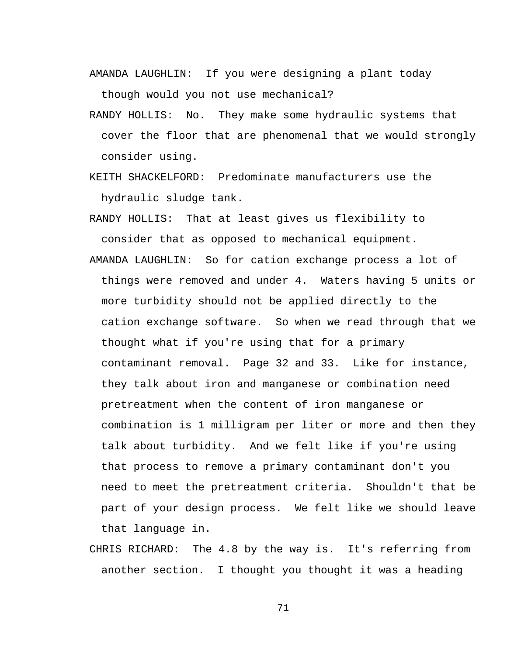- AMANDA LAUGHLIN: If you were designing a plant today though would you not use mechanical?
- RANDY HOLLIS: No. They make some hydraulic systems that cover the floor that are phenomenal that we would strongly consider using.
- KEITH SHACKELFORD: Predominate manufacturers use the hydraulic sludge tank.

RANDY HOLLIS: That at least gives us flexibility to consider that as opposed to mechanical equipment.

- AMANDA LAUGHLIN: So for cation exchange process a lot of things were removed and under 4. Waters having 5 units or more turbidity should not be applied directly to the cation exchange software. So when we read through that we thought what if you're using that for a primary contaminant removal. Page 32 and 33. Like for instance, they talk about iron and manganese or combination need pretreatment when the content of iron manganese or combination is 1 milligram per liter or more and then they talk about turbidity. And we felt like if you're using that process to remove a primary contaminant don't you need to meet the pretreatment criteria. Shouldn't that be part of your design process. We felt like we should leave that language in.
- CHRIS RICHARD: The 4.8 by the way is. It's referring from another section. I thought you thought it was a heading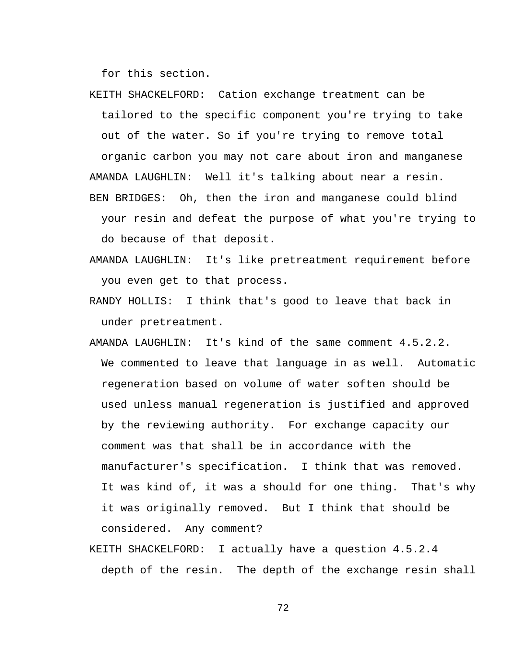for this section.

- KEITH SHACKELFORD: Cation exchange treatment can be tailored to the specific component you're trying to take out of the water. So if you're trying to remove total organic carbon you may not care about iron and manganese AMANDA LAUGHLIN: Well it's talking about near a resin. BEN BRIDGES: Oh, then the iron and manganese could blind your resin and defeat the purpose of what you're trying to do because of that deposit.
- AMANDA LAUGHLIN: It's like pretreatment requirement before you even get to that process.
- RANDY HOLLIS: I think that's good to leave that back in under pretreatment.
- AMANDA LAUGHLIN: It's kind of the same comment 4.5.2.2. We commented to leave that language in as well. Automatic regeneration based on volume of water soften should be used unless manual regeneration is justified and approved by the reviewing authority. For exchange capacity our comment was that shall be in accordance with the manufacturer's specification. I think that was removed. It was kind of, it was a should for one thing. That's why it was originally removed. But I think that should be considered. Any comment?
- KEITH SHACKELFORD: I actually have a question 4.5.2.4 depth of the resin. The depth of the exchange resin shall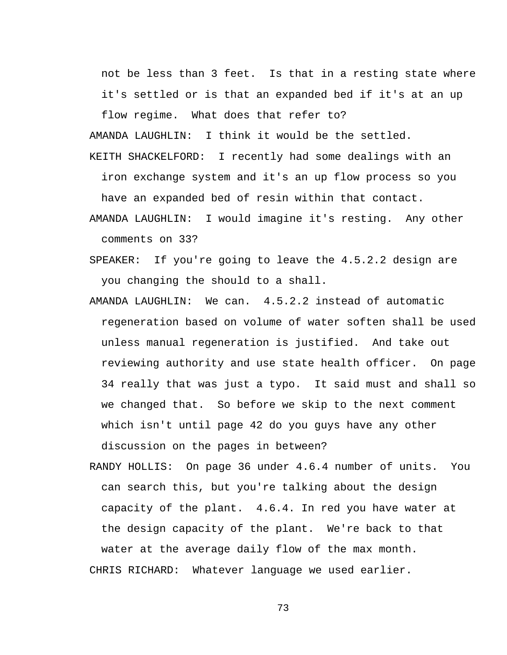not be less than 3 feet. Is that in a resting state where it's settled or is that an expanded bed if it's at an up

flow regime. What does that refer to?

AMANDA LAUGHLIN: I think it would be the settled.

KEITH SHACKELFORD: I recently had some dealings with an iron exchange system and it's an up flow process so you have an expanded bed of resin within that contact.

- AMANDA LAUGHLIN: I would imagine it's resting. Any other comments on 33?
- SPEAKER: If you're going to leave the 4.5.2.2 design are you changing the should to a shall.
- AMANDA LAUGHLIN: We can. 4.5.2.2 instead of automatic regeneration based on volume of water soften shall be used unless manual regeneration is justified. And take out reviewing authority and use state health officer. On page 34 really that was just a typo. It said must and shall so we changed that. So before we skip to the next comment which isn't until page 42 do you guys have any other discussion on the pages in between?
- RANDY HOLLIS: On page 36 under 4.6.4 number of units. You can search this, but you're talking about the design capacity of the plant. 4.6.4. In red you have water at the design capacity of the plant. We're back to that water at the average daily flow of the max month. CHRIS RICHARD: Whatever language we used earlier.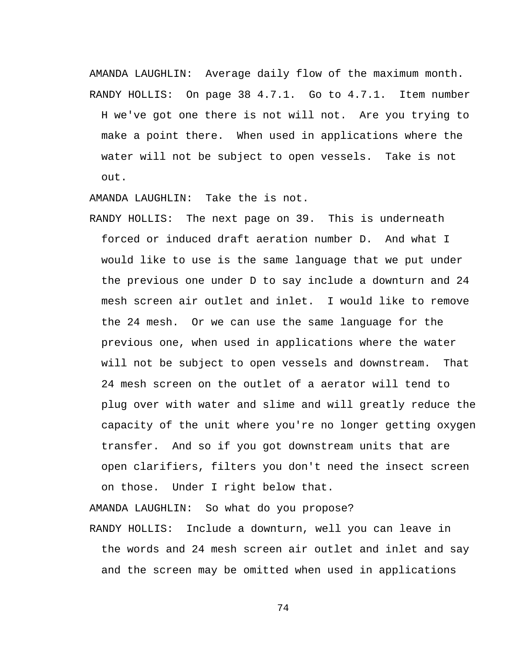AMANDA LAUGHLIN: Average daily flow of the maximum month. RANDY HOLLIS: On page 38 4.7.1. Go to 4.7.1. Item number

H we've got one there is not will not. Are you trying to make a point there. When used in applications where the water will not be subject to open vessels. Take is not out.

AMANDA LAUGHLIN: Take the is not.

RANDY HOLLIS: The next page on 39. This is underneath forced or induced draft aeration number D. And what I would like to use is the same language that we put under the previous one under D to say include a downturn and 24 mesh screen air outlet and inlet. I would like to remove the 24 mesh. Or we can use the same language for the previous one, when used in applications where the water will not be subject to open vessels and downstream. That 24 mesh screen on the outlet of a aerator will tend to plug over with water and slime and will greatly reduce the capacity of the unit where you're no longer getting oxygen transfer. And so if you got downstream units that are open clarifiers, filters you don't need the insect screen on those. Under I right below that.

AMANDA LAUGHLIN: So what do you propose?

RANDY HOLLIS: Include a downturn, well you can leave in the words and 24 mesh screen air outlet and inlet and say and the screen may be omitted when used in applications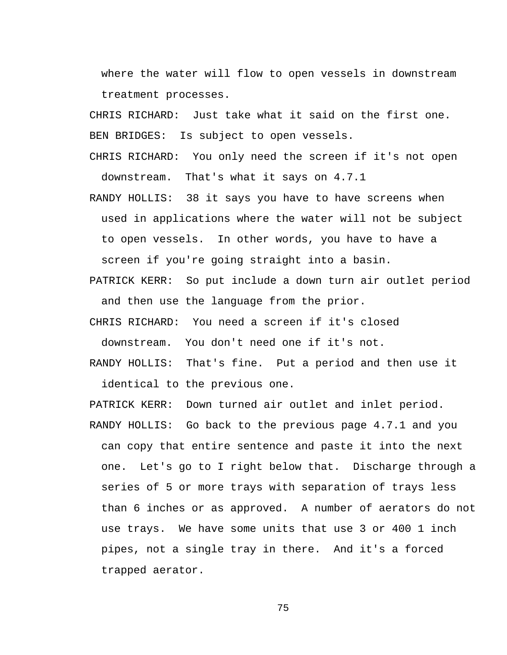where the water will flow to open vessels in downstream treatment processes.

CHRIS RICHARD: Just take what it said on the first one. BEN BRIDGES: Is subject to open vessels.

- CHRIS RICHARD: You only need the screen if it's not open downstream. That's what it says on 4.7.1
- RANDY HOLLIS: 38 it says you have to have screens when used in applications where the water will not be subject to open vessels. In other words, you have to have a screen if you're going straight into a basin.
- PATRICK KERR: So put include a down turn air outlet period and then use the language from the prior.
- CHRIS RICHARD: You need a screen if it's closed downstream. You don't need one if it's not.
- RANDY HOLLIS: That's fine. Put a period and then use it identical to the previous one.

PATRICK KERR: Down turned air outlet and inlet period.

RANDY HOLLIS: Go back to the previous page 4.7.1 and you can copy that entire sentence and paste it into the next one. Let's go to I right below that. Discharge through a series of 5 or more trays with separation of trays less than 6 inches or as approved. A number of aerators do not use trays. We have some units that use 3 or 400 1 inch pipes, not a single tray in there. And it's a forced trapped aerator.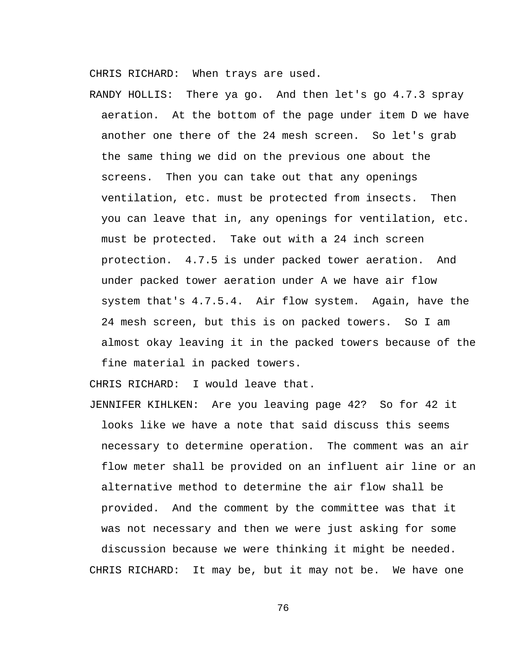CHRIS RICHARD: When trays are used.

RANDY HOLLIS: There ya go. And then let's go 4.7.3 spray aeration. At the bottom of the page under item D we have another one there of the 24 mesh screen. So let's grab the same thing we did on the previous one about the screens. Then you can take out that any openings ventilation, etc. must be protected from insects. Then you can leave that in, any openings for ventilation, etc. must be protected. Take out with a 24 inch screen protection. 4.7.5 is under packed tower aeration. And under packed tower aeration under A we have air flow system that's 4.7.5.4. Air flow system. Again, have the 24 mesh screen, but this is on packed towers. So I am almost okay leaving it in the packed towers because of the fine material in packed towers.

CHRIS RICHARD: I would leave that.

JENNIFER KIHLKEN: Are you leaving page 42? So for 42 it looks like we have a note that said discuss this seems necessary to determine operation. The comment was an air flow meter shall be provided on an influent air line or an alternative method to determine the air flow shall be provided. And the comment by the committee was that it was not necessary and then we were just asking for some discussion because we were thinking it might be needed. CHRIS RICHARD: It may be, but it may not be. We have one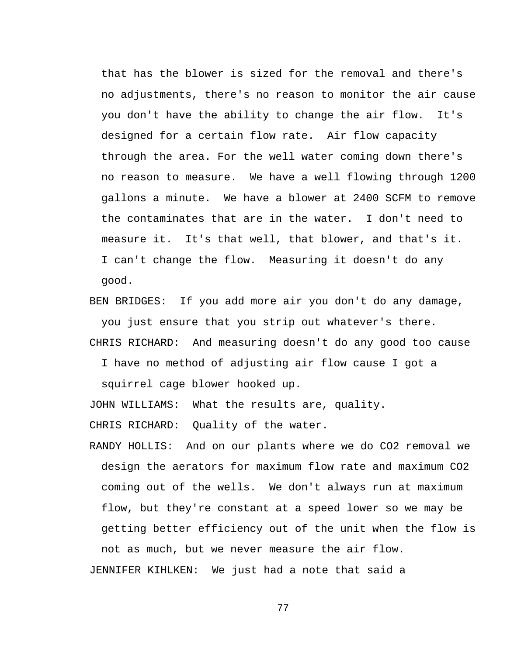that has the blower is sized for the removal and there's no adjustments, there's no reason to monitor the air cause you don't have the ability to change the air flow. It's designed for a certain flow rate. Air flow capacity through the area. For the well water coming down there's no reason to measure. We have a well flowing through 1200 gallons a minute. We have a blower at 2400 SCFM to remove the contaminates that are in the water. I don't need to measure it. It's that well, that blower, and that's it. I can't change the flow. Measuring it doesn't do any good.

BEN BRIDGES: If you add more air you don't do any damage, you just ensure that you strip out whatever's there.

CHRIS RICHARD: And measuring doesn't do any good too cause

I have no method of adjusting air flow cause I got a

squirrel cage blower hooked up.

JOHN WILLIAMS: What the results are, quality.

CHRIS RICHARD: Quality of the water.

RANDY HOLLIS: And on our plants where we do CO2 removal we design the aerators for maximum flow rate and maximum CO2 coming out of the wells. We don't always run at maximum flow, but they're constant at a speed lower so we may be getting better efficiency out of the unit when the flow is not as much, but we never measure the air flow.

JENNIFER KIHLKEN: We just had a note that said a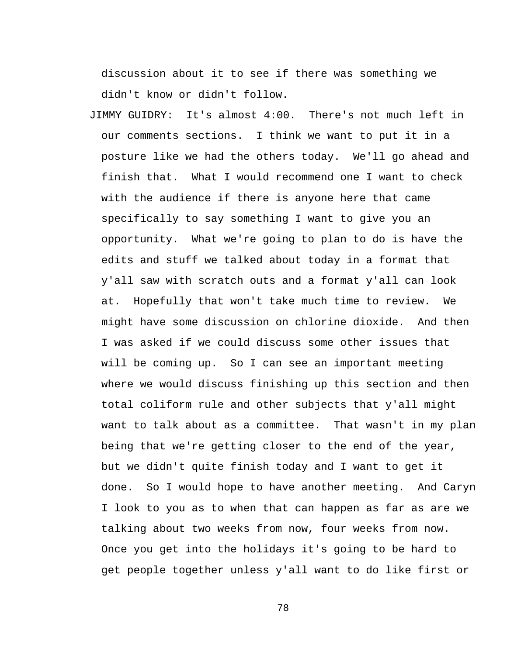discussion about it to see if there was something we didn't know or didn't follow.

JIMMY GUIDRY: It's almost 4:00. There's not much left in our comments sections. I think we want to put it in a posture like we had the others today. We'll go ahead and finish that. What I would recommend one I want to check with the audience if there is anyone here that came specifically to say something I want to give you an opportunity. What we're going to plan to do is have the edits and stuff we talked about today in a format that y'all saw with scratch outs and a format y'all can look at. Hopefully that won't take much time to review. We might have some discussion on chlorine dioxide. And then I was asked if we could discuss some other issues that will be coming up. So I can see an important meeting where we would discuss finishing up this section and then total coliform rule and other subjects that y'all might want to talk about as a committee. That wasn't in my plan being that we're getting closer to the end of the year, but we didn't quite finish today and I want to get it done. So I would hope to have another meeting. And Caryn I look to you as to when that can happen as far as are we talking about two weeks from now, four weeks from now. Once you get into the holidays it's going to be hard to get people together unless y'all want to do like first or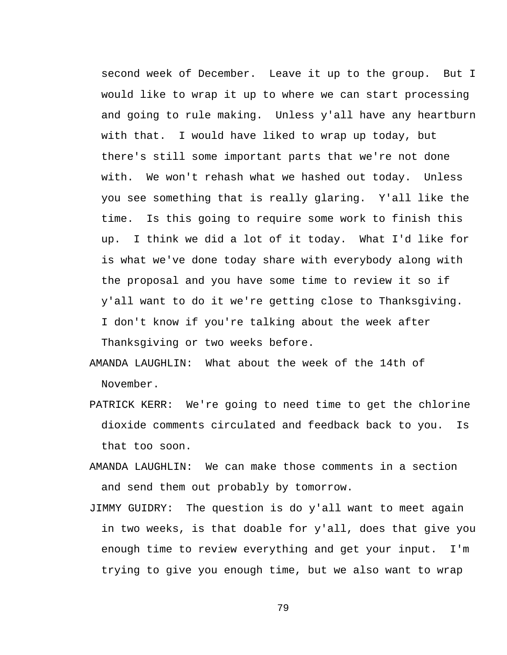second week of December. Leave it up to the group. But I would like to wrap it up to where we can start processing and going to rule making. Unless y'all have any heartburn with that. I would have liked to wrap up today, but there's still some important parts that we're not done with. We won't rehash what we hashed out today. Unless you see something that is really glaring. Y'all like the time. Is this going to require some work to finish this up. I think we did a lot of it today. What I'd like for is what we've done today share with everybody along with the proposal and you have some time to review it so if y'all want to do it we're getting close to Thanksgiving. I don't know if you're talking about the week after Thanksgiving or two weeks before.

- AMANDA LAUGHLIN: What about the week of the 14th of November.
- PATRICK KERR: We're going to need time to get the chlorine dioxide comments circulated and feedback back to you. Is that too soon.
- AMANDA LAUGHLIN: We can make those comments in a section and send them out probably by tomorrow.
- JIMMY GUIDRY: The question is do y'all want to meet again in two weeks, is that doable for y'all, does that give you enough time to review everything and get your input. I'm trying to give you enough time, but we also want to wrap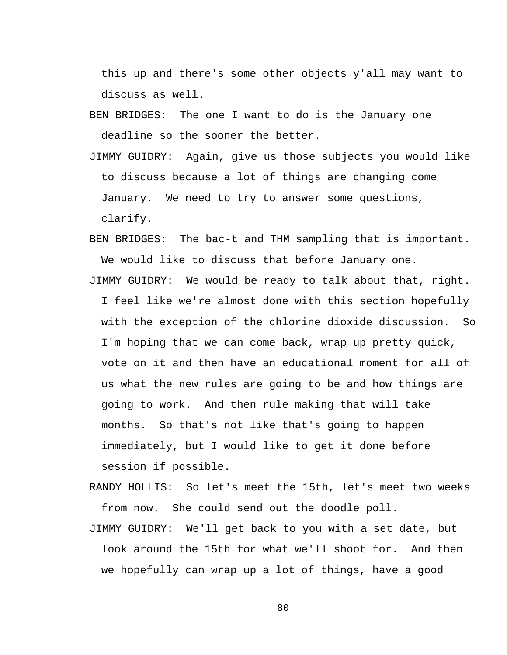this up and there's some other objects y'all may want to discuss as well.

BEN BRIDGES: The one I want to do is the January one deadline so the sooner the better.

- JIMMY GUIDRY: Again, give us those subjects you would like to discuss because a lot of things are changing come January. We need to try to answer some questions, clarify.
- BEN BRIDGES: The bac-t and THM sampling that is important. We would like to discuss that before January one.
- JIMMY GUIDRY: We would be ready to talk about that, right. I feel like we're almost done with this section hopefully with the exception of the chlorine dioxide discussion. So I'm hoping that we can come back, wrap up pretty quick, vote on it and then have an educational moment for all of us what the new rules are going to be and how things are going to work. And then rule making that will take months. So that's not like that's going to happen immediately, but I would like to get it done before session if possible.
- RANDY HOLLIS: So let's meet the 15th, let's meet two weeks from now. She could send out the doodle poll.
- JIMMY GUIDRY: We'll get back to you with a set date, but look around the 15th for what we'll shoot for. And then we hopefully can wrap up a lot of things, have a good